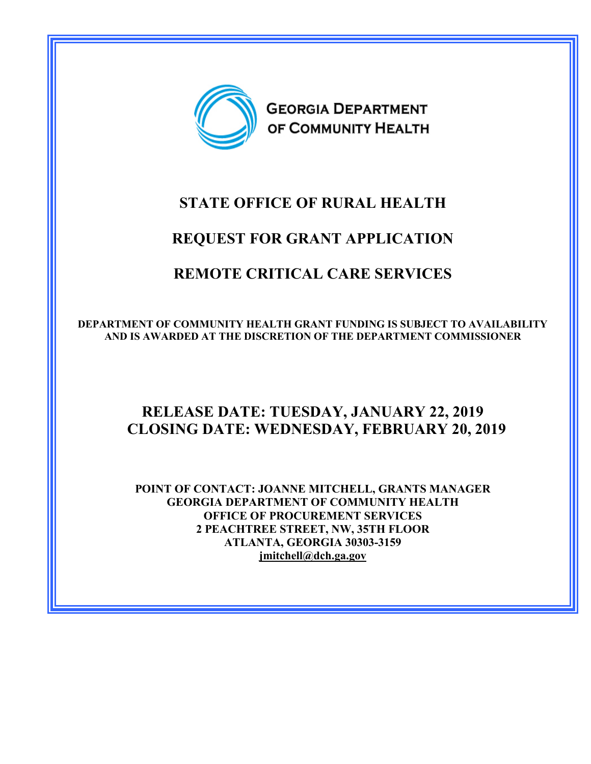

# **STATE OFFICE OF RURAL HEALTH**

# **REQUEST FOR GRANT APPLICATION**

# **REMOTE CRITICAL CARE SERVICES**

**DEPARTMENT OF COMMUNITY HEALTH GRANT FUNDING IS SUBJECT TO AVAILABILITY AND IS AWARDED AT THE DISCRETION OF THE DEPARTMENT COMMISSIONER** 

## **RELEASE DATE: TUESDAY, JANUARY 22, 2019 CLOSING DATE: WEDNESDAY, FEBRUARY 20, 2019**

**POINT OF CONTACT: JOANNE MITCHELL, GRANTS MANAGER GEORGIA DEPARTMENT OF COMMUNITY HEALTH OFFICE OF PROCUREMENT SERVICES 2 PEACHTREE STREET, NW, 35TH FLOOR ATLANTA, GEORGIA 30303-3159 [jmitchell@dch.ga.gov](mailto:jmitchell@dch.ga.gov)**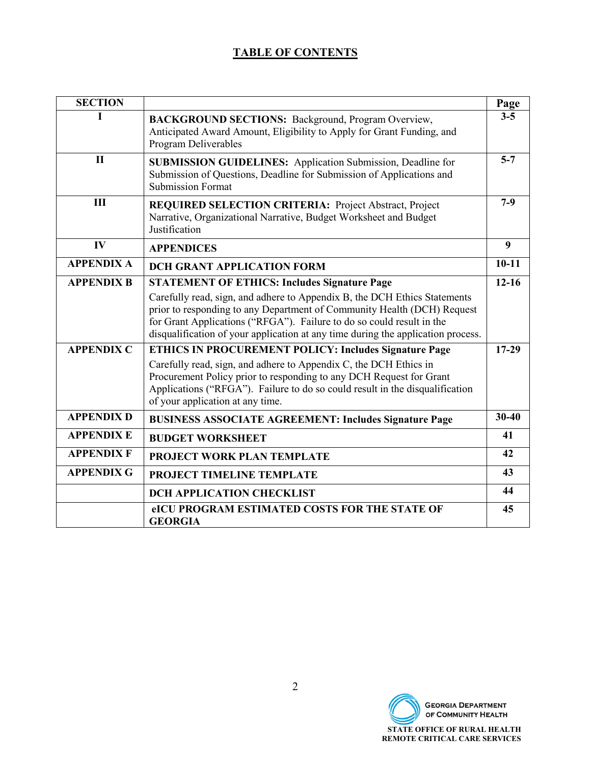## **TABLE OF CONTENTS**

| <b>SECTION</b>    |                                                                                                                                                                                                                                                                                                                   | Page             |
|-------------------|-------------------------------------------------------------------------------------------------------------------------------------------------------------------------------------------------------------------------------------------------------------------------------------------------------------------|------------------|
|                   | <b>BACKGROUND SECTIONS:</b> Background, Program Overview,<br>Anticipated Award Amount, Eligibility to Apply for Grant Funding, and<br>Program Deliverables                                                                                                                                                        | $3 - 5$          |
| $\mathbf{I}$      | <b>SUBMISSION GUIDELINES:</b> Application Submission, Deadline for<br>Submission of Questions, Deadline for Submission of Applications and<br><b>Submission Format</b>                                                                                                                                            | $5 - 7$          |
| III               | <b>REQUIRED SELECTION CRITERIA: Project Abstract, Project</b><br>Narrative, Organizational Narrative, Budget Worksheet and Budget<br>Justification                                                                                                                                                                | $7-9$            |
| IV                | <b>APPENDICES</b>                                                                                                                                                                                                                                                                                                 | $\boldsymbol{9}$ |
| <b>APPENDIX A</b> | <b>DCH GRANT APPLICATION FORM</b>                                                                                                                                                                                                                                                                                 | $10 - 11$        |
| <b>APPENDIX B</b> | <b>STATEMENT OF ETHICS: Includes Signature Page</b>                                                                                                                                                                                                                                                               | $12 - 16$        |
|                   | Carefully read, sign, and adhere to Appendix B, the DCH Ethics Statements<br>prior to responding to any Department of Community Health (DCH) Request<br>for Grant Applications ("RFGA"). Failure to do so could result in the<br>disqualification of your application at any time during the application process. |                  |
| <b>APPENDIX C</b> | <b>ETHICS IN PROCUREMENT POLICY: Includes Signature Page</b>                                                                                                                                                                                                                                                      | $17-29$          |
|                   | Carefully read, sign, and adhere to Appendix C, the DCH Ethics in<br>Procurement Policy prior to responding to any DCH Request for Grant<br>Applications ("RFGA"). Failure to do so could result in the disqualification<br>of your application at any time.                                                      |                  |
| <b>APPENDIX D</b> | <b>BUSINESS ASSOCIATE AGREEMENT: Includes Signature Page</b>                                                                                                                                                                                                                                                      | $30 - 40$        |
| <b>APPENDIX E</b> | <b>BUDGET WORKSHEET</b>                                                                                                                                                                                                                                                                                           | 41               |
| <b>APPENDIX F</b> | PROJECT WORK PLAN TEMPLATE                                                                                                                                                                                                                                                                                        | 42               |
| <b>APPENDIX G</b> | PROJECT TIMELINE TEMPLATE                                                                                                                                                                                                                                                                                         | 43               |
|                   | <b>DCH APPLICATION CHECKLIST</b>                                                                                                                                                                                                                                                                                  | 44               |
|                   | eICU PROGRAM ESTIMATED COSTS FOR THE STATE OF<br><b>GEORGIA</b>                                                                                                                                                                                                                                                   | 45               |

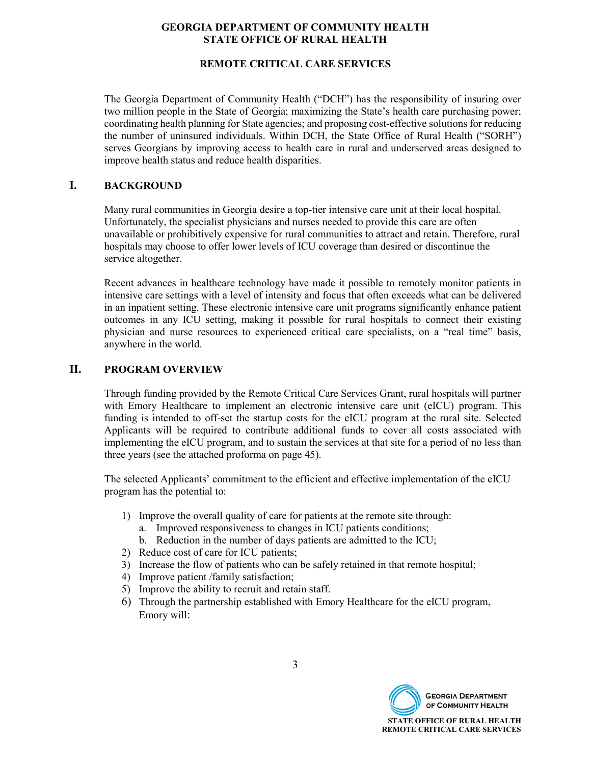#### **REMOTE CRITICAL CARE SERVICES**

The Georgia Department of Community Health ("DCH") has the responsibility of insuring over two million people in the State of Georgia; maximizing the State's health care purchasing power; coordinating health planning for State agencies; and proposing cost-effective solutions for reducing the number of uninsured individuals. Within DCH, the State Office of Rural Health ("SORH") serves Georgians by improving access to health care in rural and underserved areas designed to improve health status and reduce health disparities.

#### **I. BACKGROUND**

Many rural communities in Georgia desire a top-tier intensive care unit at their local hospital. Unfortunately, the specialist physicians and nurses needed to provide this care are often unavailable or prohibitively expensive for rural communities to attract and retain. Therefore, rural hospitals may choose to offer lower levels of ICU coverage than desired or discontinue the service altogether.

Recent advances in healthcare technology have made it possible to remotely monitor patients in intensive care settings with a level of intensity and focus that often exceeds what can be delivered in an inpatient setting. These electronic intensive care unit programs significantly enhance patient outcomes in any ICU setting, making it possible for rural hospitals to connect their existing physician and nurse resources to experienced critical care specialists, on a "real time" basis, anywhere in the world.

#### **II. PROGRAM OVERVIEW**

Through funding provided by the Remote Critical Care Services Grant, rural hospitals will partner with Emory Healthcare to implement an electronic intensive care unit (eICU) program. This funding is intended to off-set the startup costs for the eICU program at the rural site. Selected Applicants will be required to contribute additional funds to cover all costs associated with implementing the eICU program, and to sustain the services at that site for a period of no less than three years (see the attached proforma on page 45).

The selected Applicants' commitment to the efficient and effective implementation of the eICU program has the potential to:

- 1) Improve the overall quality of care for patients at the remote site through:
	- a. Improved responsiveness to changes in ICU patients conditions;
	- b. Reduction in the number of days patients are admitted to the ICU;
- 2) Reduce cost of care for ICU patients;
- 3) Increase the flow of patients who can be safely retained in that remote hospital;
- 4) Improve patient /family satisfaction;
- 5) Improve the ability to recruit and retain staff.
- 6) Through the partnership established with Emory Healthcare for the eICU program, Emory will:

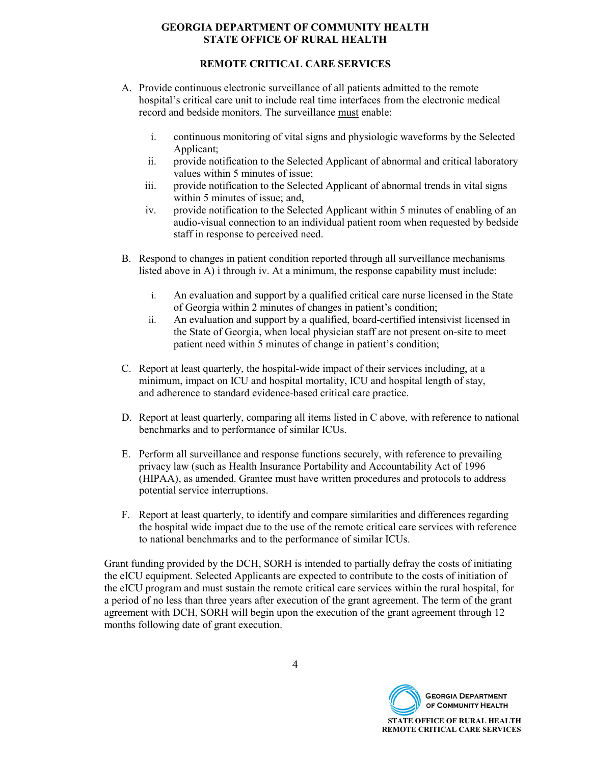#### **REMOTE CRITICAL CARE SERVICES**

- A. Provide continuous electronic surveillance of all patients admitted to the remote hospital's critical care unit to include real time interfaces from the electronic medical record and bedside monitors. The surveillance must enable:
	- i. continuous monitoring of vital signs and physiologic waveforms by the Selected Applicant;
	- ii. provide notification to the Selected Applicant of abnormal and critical laboratory values within 5 minutes of issue;
	- iii. provide notification to the Selected Applicant of abnormal trends in vital signs within 5 minutes of issue; and,
	- iv. provide notification to the Selected Applicant within 5 minutes of enabling of an audio-visual connection to an individual patient room when requested by bedside staff in response to perceived need.
- B. Respond to changes in patient condition reported through all surveillance mechanisms listed above in A) i through iv. At a minimum, the response capability must include:
	- i. An evaluation and support by a qualified critical care nurse licensed in the State of Georgia within 2 minutes of changes in patient's condition;
	- ii. An evaluation and support by a qualified, board-certified intensivist licensed in the State of Georgia, when local physician staff are not present on-site to meet patient need within 5 minutes of change in patient's condition;
- C. Report at least quarterly, the hospital-wide impact of their services including, at a minimum, impact on ICU and hospital mortality, ICU and hospital length of stay, and adherence to standard evidence-based critical care practice.
- D. Report at least quarterly, comparing all items listed in C above, with reference to national benchmarks and to performance of similar ICUs.
- E. Perform all surveillance and response functions securely, with reference to prevailing privacy law (such as Health Insurance Portability and Accountability Act of 1996 (HIPAA), as amended. Grantee must have written procedures and protocols to address potential service interruptions.
- F. Report at least quarterly, to identify and compare similarities and differences regarding the hospital wide impact due to the use of the remote critical care services with reference to national benchmarks and to the performance of similar ICUs.

Grant funding provided by the DCH, SORH is intended to partially defray the costs of initiating the eICU equipment. Selected Applicants are expected to contribute to the costs of initiation of the eICU program and must sustain the remote critical care services within the rural hospital, for a period of no less than three years after execution of the grant agreement. The term of the grant agreement with DCH, SORH will begin upon the execution of the grant agreement through 12 months following date of grant execution.

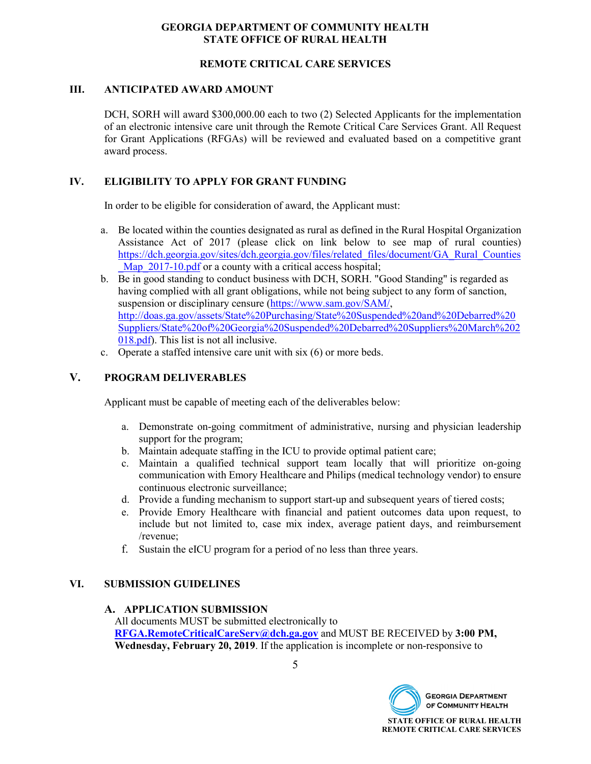#### **REMOTE CRITICAL CARE SERVICES**

#### **III. ANTICIPATED AWARD AMOUNT**

DCH, SORH will award \$300,000.00 each to two (2) Selected Applicants for the implementation of an electronic intensive care unit through the Remote Critical Care Services Grant. All Request for Grant Applications (RFGAs) will be reviewed and evaluated based on a competitive grant award process.

#### **IV. ELIGIBILITY TO APPLY FOR GRANT FUNDING**

In order to be eligible for consideration of award, the Applicant must:

- a. Be located within the counties designated as rural as defined in the Rural Hospital Organization Assistance Act of 2017 (please click on link below to see map of rural counties) [https://dch.georgia.gov/sites/dch.georgia.gov/files/related\\_files/document/GA\\_Rural\\_Counties](https://dch.georgia.gov/sites/dch.georgia.gov/files/related_files/document/GA_Rural_Counties_Map_2017-10.pdf) Map  $2017$ -10.pdf or a county with a critical access hospital;
- b. Be in good standing to conduct business with DCH, SORH. "Good Standing" is regarded as having complied with all grant obligations, while not being subject to any form of sanction, suspension or disciplinary censure [\(https://www.sam.gov/SAM/,](https://www.sam.gov/SAM/) [http://doas.ga.gov/assets/State%20Purchasing/State%20Suspended%20and%20Debarred%20](http://doas.ga.gov/assets/State%20Purchasing/State%20Suspended%20and%20Debarred%20Suppliers/State%20of%20Georgia%20Suspended%20Debarred%20Suppliers%20March%202018.pdf) [Suppliers/State%20of%20Georgia%20Suspended%20Debarred%20Suppliers%20March%202](http://doas.ga.gov/assets/State%20Purchasing/State%20Suspended%20and%20Debarred%20Suppliers/State%20of%20Georgia%20Suspended%20Debarred%20Suppliers%20March%202018.pdf) [018.pdf\)](http://doas.ga.gov/assets/State%20Purchasing/State%20Suspended%20and%20Debarred%20Suppliers/State%20of%20Georgia%20Suspended%20Debarred%20Suppliers%20March%202018.pdf). This list is not all inclusive.
- c. Operate a staffed intensive care unit with six (6) or more beds.

#### **V. PROGRAM DELIVERABLES**

Applicant must be capable of meeting each of the deliverables below:

- a. Demonstrate on-going commitment of administrative, nursing and physician leadership support for the program;
- b. Maintain adequate staffing in the ICU to provide optimal patient care;
- c. Maintain a qualified technical support team locally that will prioritize on-going communication with Emory Healthcare and Philips (medical technology vendor) to ensure continuous electronic surveillance;
- d. Provide a funding mechanism to support start-up and subsequent years of tiered costs;
- e. Provide Emory Healthcare with financial and patient outcomes data upon request, to include but not limited to, case mix index, average patient days, and reimbursement /revenue;
- f. Sustain the eICU program for a period of no less than three years.

#### **VI. SUBMISSION GUIDELINES**

#### **A. APPLICATION SUBMISSION**

All documents MUST be submitted electronically to **[RFGA.RemoteCriticalCareServ@dch.ga.gov](mailto:RFGA.RemoteCriticalCareServ@dch.ga.gov)** and MUST BE RECEIVED by **3:00 PM, Wednesday, February 20, 2019**. If the application is incomplete or non-responsive to

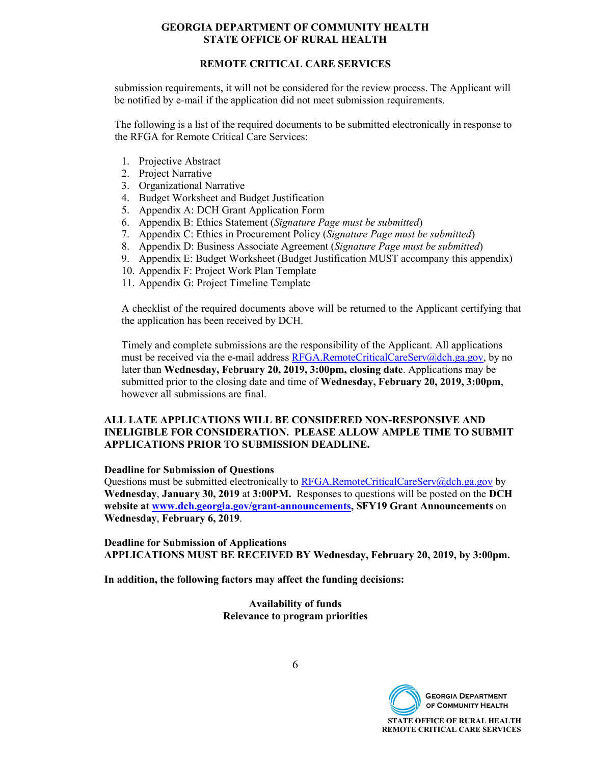#### **REMOTE CRITICAL CARE SERVICES**

submission requirements, it will not be considered for the review process. The Applicant will be notified by e-mail if the application did not meet submission requirements.

The following is a list of the required documents to be submitted electronically in response to the RFGA for Remote Critical Care Services:

- 1. Projective Abstract
- 2. Project Narrative
- 3. Organizational Narrative
- 4. Budget Worksheet and Budget Justification
- 5. Appendix A: DCH Grant Application Form
- 6. Appendix B: Ethics Statement (*Signature Page must be submitted*)
- 7. Appendix C: Ethics in Procurement Policy (*Signature Page must be submitted*)
- 8. Appendix D: Business Associate Agreement (*Signature Page must be submitted*)
- 9. Appendix E: Budget Worksheet (Budget Justification MUST accompany this appendix)
- 10. Appendix F: Project Work Plan Template
- 11. Appendix G: Project Timeline Template

A checklist of the required documents above will be returned to the Applicant certifying that the application has been received by DCH.

Timely and complete submissions are the responsibility of the Applicant. All applications must be received via the e-mail address [RFGA.RemoteCriticalCareServ@dch.ga.gov,](mailto:RFGA.RemoteCriticalCareServ@dch.ga.gov) by no later than **Wednesday, February 20, 2019, 3:00pm, closing date**. Applications may be submitted prior to the closing date and time of **Wednesday, February 20, 2019, 3:00pm**, however all submissions are final.

#### **ALL LATE APPLICATIONS WILL BE CONSIDERED NON-RESPONSIVE AND INELIGIBLE FOR CONSIDERATION. PLEASE ALLOW AMPLE TIME TO SUBMIT APPLICATIONS PRIOR TO SUBMISSION DEADLINE.**

#### **Deadline for Submission of Questions**

Questions must be submitted electronically to [RFGA.RemoteCriticalCareServ@dch.ga.gov](mailto:RFGA.RemoteCriticalCareServ@dch.ga.gov) by **Wednesday**, **January 30, 2019** at **3:00PM.** Responses to questions will be posted on the **DCH website at [www.dch.georgia.gov/grant-announcements,](http://www.dch.georgia.gov/grant-announcements) SFY19 Grant Announcements** on **Wednesday**, **February 6, 2019**.

**Deadline for Submission of Applications APPLICATIONS MUST BE RECEIVED BY Wednesday, February 20, 2019, by 3:00pm.**

**In addition, the following factors may affect the funding decisions:**

**Availability of funds Relevance to program priorities**

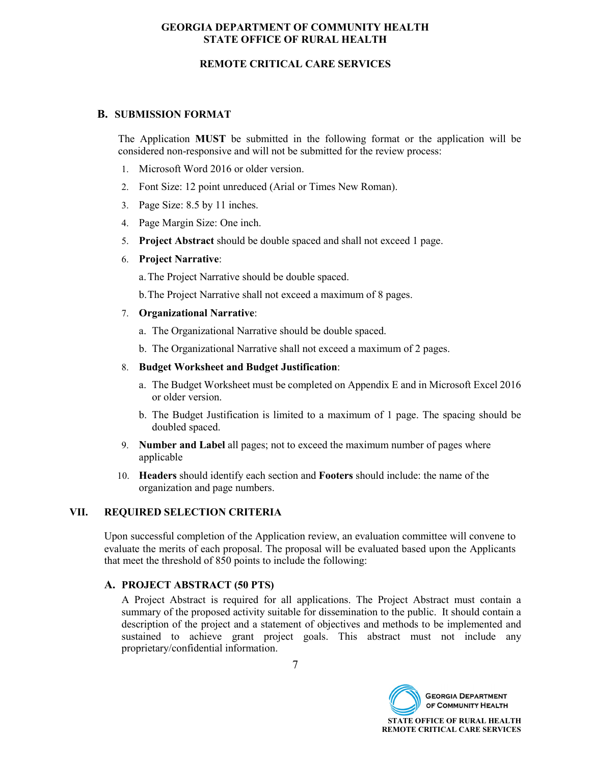#### **REMOTE CRITICAL CARE SERVICES**

#### **B. SUBMISSION FORMAT**

The Application **MUST** be submitted in the following format or the application will be considered non-responsive and will not be submitted for the review process:

- 1. Microsoft Word 2016 or older version.
- 2. Font Size: 12 point unreduced (Arial or Times New Roman).
- 3. Page Size: 8.5 by 11 inches.
- 4. Page Margin Size: One inch.
- 5. **Project Abstract** should be double spaced and shall not exceed 1 page.
- 6. **Project Narrative**:

a.The Project Narrative should be double spaced.

b.The Project Narrative shall not exceed a maximum of 8 pages.

- 7. **Organizational Narrative**:
	- a. The Organizational Narrative should be double spaced.
	- b. The Organizational Narrative shall not exceed a maximum of 2 pages.

#### 8. **Budget Worksheet and Budget Justification**:

- a. The Budget Worksheet must be completed on Appendix E and in Microsoft Excel 2016 or older version.
- b. The Budget Justification is limited to a maximum of 1 page. The spacing should be doubled spaced.
- 9. **Number and Label** all pages; not to exceed the maximum number of pages where applicable
- 10. **Headers** should identify each section and **Footers** should include: the name of the organization and page numbers.

#### **VII. REQUIRED SELECTION CRITERIA**

Upon successful completion of the Application review, an evaluation committee will convene to evaluate the merits of each proposal. The proposal will be evaluated based upon the Applicants that meet the threshold of 850 points to include the following:

#### **A. PROJECT ABSTRACT (50 PTS)**

A Project Abstract is required for all applications. The Project Abstract must contain a summary of the proposed activity suitable for dissemination to the public. It should contain a description of the project and a statement of objectives and methods to be implemented and sustained to achieve grant project goals. This abstract must not include any proprietary/confidential information.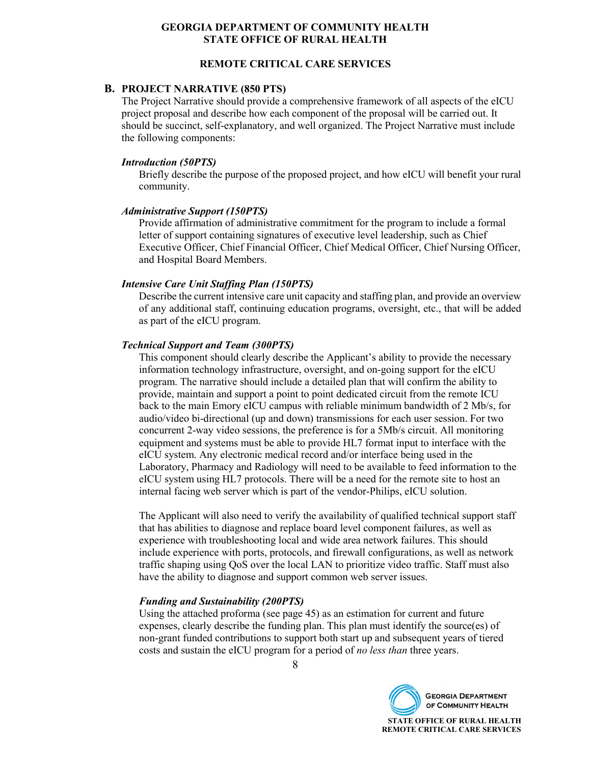#### **REMOTE CRITICAL CARE SERVICES**

#### **B. PROJECT NARRATIVE (850 PTS)**

The Project Narrative should provide a comprehensive framework of all aspects of the eICU project proposal and describe how each component of the proposal will be carried out. It should be succinct, self-explanatory, and well organized. The Project Narrative must include the following components:

#### *Introduction (50PTS)*

Briefly describe the purpose of the proposed project, and how eICU will benefit your rural community.

#### *Administrative Support (150PTS)*

Provide affirmation of administrative commitment for the program to include a formal letter of support containing signatures of executive level leadership, such as Chief Executive Officer, Chief Financial Officer, Chief Medical Officer, Chief Nursing Officer, and Hospital Board Members.

#### *Intensive Care Unit Staffing Plan (150PTS)*

Describe the current intensive care unit capacity and staffing plan, and provide an overview of any additional staff, continuing education programs, oversight, etc., that will be added as part of the eICU program.

#### *Technical Support and Team (300PTS)*

This component should clearly describe the Applicant's ability to provide the necessary information technology infrastructure, oversight, and on-going support for the eICU program. The narrative should include a detailed plan that will confirm the ability to provide, maintain and support a point to point dedicated circuit from the remote ICU back to the main Emory eICU campus with reliable minimum bandwidth of 2 Mb/s, for audio/video bi-directional (up and down) transmissions for each user session. For two concurrent 2-way video sessions, the preference is for a 5Mb/s circuit. All monitoring equipment and systems must be able to provide HL7 format input to interface with the eICU system. Any electronic medical record and/or interface being used in the Laboratory, Pharmacy and Radiology will need to be available to feed information to the eICU system using HL7 protocols. There will be a need for the remote site to host an internal facing web server which is part of the vendor-Philips, eICU solution.

The Applicant will also need to verify the availability of qualified technical support staff that has abilities to diagnose and replace board level component failures, as well as experience with troubleshooting local and wide area network failures. This should include experience with ports, protocols, and firewall configurations, as well as network traffic shaping using QoS over the local LAN to prioritize video traffic. Staff must also have the ability to diagnose and support common web server issues.

#### *Funding and Sustainability (200PTS)*

Using the attached proforma (see page 45) as an estimation for current and future expenses, clearly describe the funding plan. This plan must identify the source(es) of non-grant funded contributions to support both start up and subsequent years of tiered costs and sustain the eICU program for a period of *no less than* three years.

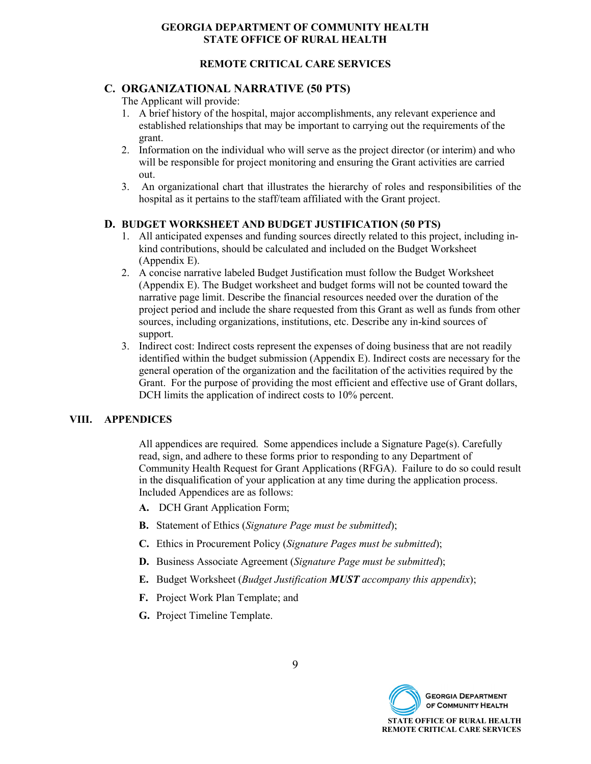#### **REMOTE CRITICAL CARE SERVICES**

#### **C. ORGANIZATIONAL NARRATIVE (50 PTS)**

The Applicant will provide:

- 1. A brief history of the hospital, major accomplishments, any relevant experience and established relationships that may be important to carrying out the requirements of the grant.
- 2. Information on the individual who will serve as the project director (or interim) and who will be responsible for project monitoring and ensuring the Grant activities are carried out.
- 3. An organizational chart that illustrates the hierarchy of roles and responsibilities of the hospital as it pertains to the staff/team affiliated with the Grant project.

#### **D. BUDGET WORKSHEET AND BUDGET JUSTIFICATION (50 PTS)**

- 1. All anticipated expenses and funding sources directly related to this project, including inkind contributions, should be calculated and included on the Budget Worksheet (Appendix E).
- 2. A concise narrative labeled Budget Justification must follow the Budget Worksheet (Appendix E). The Budget worksheet and budget forms will not be counted toward the narrative page limit. Describe the financial resources needed over the duration of the project period and include the share requested from this Grant as well as funds from other sources, including organizations, institutions, etc. Describe any in-kind sources of support.
- 3. Indirect cost: Indirect costs represent the expenses of doing business that are not readily identified within the budget submission (Appendix E). Indirect costs are necessary for the general operation of the organization and the facilitation of the activities required by the Grant. For the purpose of providing the most efficient and effective use of Grant dollars, DCH limits the application of indirect costs to 10% percent.

#### **VIII. APPENDICES**

All appendices are required. Some appendices include a Signature Page(s). Carefully read, sign, and adhere to these forms prior to responding to any Department of Community Health Request for Grant Applications (RFGA). Failure to do so could result in the disqualification of your application at any time during the application process. Included Appendices are as follows:

- **A.** DCH Grant Application Form;
- **B.** Statement of Ethics (*Signature Page must be submitted*);
- **C.** Ethics in Procurement Policy (*Signature Pages must be submitted*);
- **D.** Business Associate Agreement (*Signature Page must be submitted*);
- **E.** Budget Worksheet (*Budget Justification MUST accompany this appendix*);
- **F.** Project Work Plan Template; and
- **G.** Project Timeline Template.

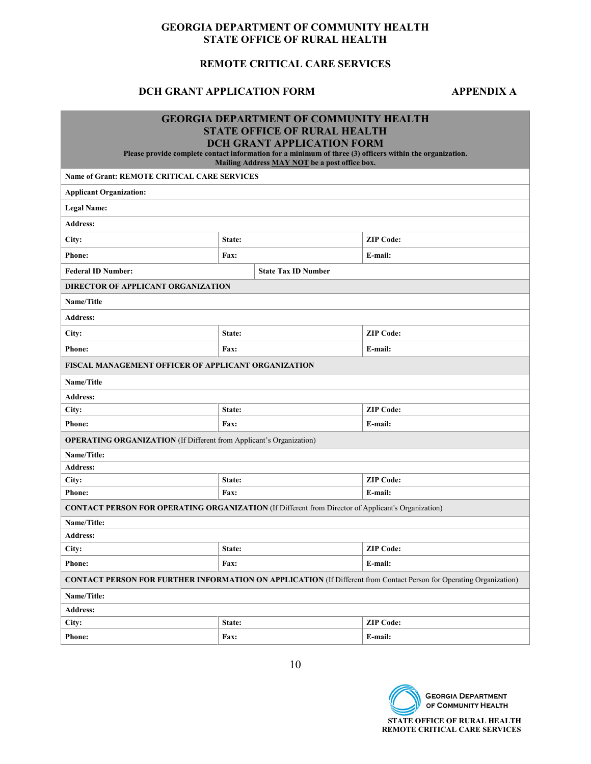### **REMOTE CRITICAL CARE SERVICES**

#### **DCH GRANT APPLICATION FORM APPENDIX A**

|                                                                                                           |                            | <b>GEORGIA DEPARTMENT OF COMMUNITY HEALTH</b>                                                                                                             |                                                                                                                            |  |  |  |  |
|-----------------------------------------------------------------------------------------------------------|----------------------------|-----------------------------------------------------------------------------------------------------------------------------------------------------------|----------------------------------------------------------------------------------------------------------------------------|--|--|--|--|
|                                                                                                           |                            | <b>STATE OFFICE OF RURAL HEALTH</b>                                                                                                                       |                                                                                                                            |  |  |  |  |
|                                                                                                           |                            | <b>DCH GRANT APPLICATION FORM</b>                                                                                                                         |                                                                                                                            |  |  |  |  |
|                                                                                                           |                            | Please provide complete contact information for a minimum of three (3) officers within the organization.<br>Mailing Address MAY NOT be a post office box. |                                                                                                                            |  |  |  |  |
| <b>Name of Grant: REMOTE CRITICAL CARE SERVICES</b>                                                       |                            |                                                                                                                                                           |                                                                                                                            |  |  |  |  |
| <b>Applicant Organization:</b>                                                                            |                            |                                                                                                                                                           |                                                                                                                            |  |  |  |  |
| <b>Legal Name:</b>                                                                                        |                            |                                                                                                                                                           |                                                                                                                            |  |  |  |  |
| <b>Address:</b>                                                                                           |                            |                                                                                                                                                           |                                                                                                                            |  |  |  |  |
| City:                                                                                                     | State:                     |                                                                                                                                                           | <b>ZIP Code:</b>                                                                                                           |  |  |  |  |
| <b>Phone:</b>                                                                                             | Fax:                       |                                                                                                                                                           | E-mail:                                                                                                                    |  |  |  |  |
| <b>Federal ID Number:</b>                                                                                 |                            | <b>State Tax ID Number</b>                                                                                                                                |                                                                                                                            |  |  |  |  |
| DIRECTOR OF APPLICANT ORGANIZATION                                                                        |                            |                                                                                                                                                           |                                                                                                                            |  |  |  |  |
| Name/Title                                                                                                |                            |                                                                                                                                                           |                                                                                                                            |  |  |  |  |
| <b>Address:</b>                                                                                           |                            |                                                                                                                                                           |                                                                                                                            |  |  |  |  |
| City:                                                                                                     | <b>ZIP Code:</b><br>State: |                                                                                                                                                           |                                                                                                                            |  |  |  |  |
| <b>Phone:</b>                                                                                             | <b>Fax:</b>                |                                                                                                                                                           | E-mail:                                                                                                                    |  |  |  |  |
| <b>FISCAL MANAGEMENT OFFICER OF APPLICANT ORGANIZATION</b>                                                |                            |                                                                                                                                                           |                                                                                                                            |  |  |  |  |
| Name/Title                                                                                                |                            |                                                                                                                                                           |                                                                                                                            |  |  |  |  |
| <b>Address:</b>                                                                                           |                            |                                                                                                                                                           |                                                                                                                            |  |  |  |  |
| City:                                                                                                     | State:                     |                                                                                                                                                           | <b>ZIP Code:</b>                                                                                                           |  |  |  |  |
| <b>Phone:</b>                                                                                             | Fax:                       |                                                                                                                                                           | E-mail:                                                                                                                    |  |  |  |  |
| <b>OPERATING ORGANIZATION</b> (If Different from Applicant's Organization)                                |                            |                                                                                                                                                           |                                                                                                                            |  |  |  |  |
| Name/Title:                                                                                               |                            |                                                                                                                                                           |                                                                                                                            |  |  |  |  |
| <b>Address:</b>                                                                                           |                            |                                                                                                                                                           |                                                                                                                            |  |  |  |  |
| City:                                                                                                     | State:                     |                                                                                                                                                           | <b>ZIP Code:</b>                                                                                                           |  |  |  |  |
| <b>Phone:</b>                                                                                             | Fax:                       |                                                                                                                                                           | E-mail:                                                                                                                    |  |  |  |  |
| <b>CONTACT PERSON FOR OPERATING ORGANIZATION (If Different from Director of Applicant's Organization)</b> |                            |                                                                                                                                                           |                                                                                                                            |  |  |  |  |
| Name/Title:                                                                                               |                            |                                                                                                                                                           |                                                                                                                            |  |  |  |  |
| <b>Address:</b>                                                                                           |                            |                                                                                                                                                           |                                                                                                                            |  |  |  |  |
| City:                                                                                                     | <b>ZIP Code:</b><br>State: |                                                                                                                                                           |                                                                                                                            |  |  |  |  |
| <b>Phone:</b>                                                                                             | Fax:<br>E-mail:            |                                                                                                                                                           |                                                                                                                            |  |  |  |  |
|                                                                                                           |                            |                                                                                                                                                           | <b>CONTACT PERSON FOR FURTHER INFORMATION ON APPLICATION (If Different from Contact Person for Operating Organization)</b> |  |  |  |  |
| Name/Title:                                                                                               |                            |                                                                                                                                                           |                                                                                                                            |  |  |  |  |
| <b>Address:</b>                                                                                           |                            |                                                                                                                                                           |                                                                                                                            |  |  |  |  |
| City:                                                                                                     | State:                     |                                                                                                                                                           | <b>ZIP Code:</b>                                                                                                           |  |  |  |  |
| <b>Phone:</b><br>Fax:<br>E-mail:                                                                          |                            |                                                                                                                                                           |                                                                                                                            |  |  |  |  |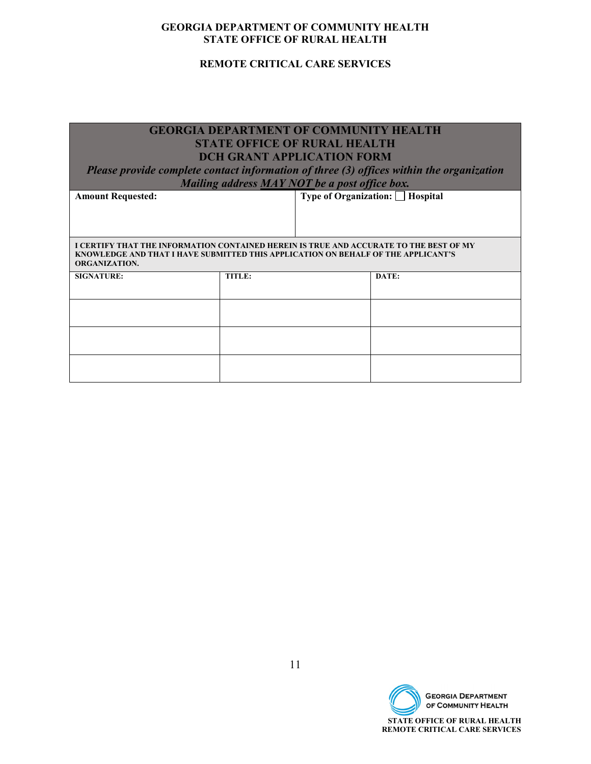#### **REMOTE CRITICAL CARE SERVICES**

| <b>GEORGIA DEPARTMENT OF COMMUNITY HEALTH</b>                                                                                                                               |                                               |  |                                                                                          |  |  |  |  |
|-----------------------------------------------------------------------------------------------------------------------------------------------------------------------------|-----------------------------------------------|--|------------------------------------------------------------------------------------------|--|--|--|--|
| <b>STATE OFFICE OF RURAL HEALTH</b>                                                                                                                                         |                                               |  |                                                                                          |  |  |  |  |
|                                                                                                                                                                             | <b>DCH GRANT APPLICATION FORM</b>             |  |                                                                                          |  |  |  |  |
|                                                                                                                                                                             |                                               |  | Please provide complete contact information of three (3) offices within the organization |  |  |  |  |
|                                                                                                                                                                             | Mailing address MAY NOT be a post office box. |  |                                                                                          |  |  |  |  |
| <b>Amount Requested:</b>                                                                                                                                                    |                                               |  | <b>Type of Organization:</b> □ Hospital                                                  |  |  |  |  |
|                                                                                                                                                                             |                                               |  |                                                                                          |  |  |  |  |
|                                                                                                                                                                             |                                               |  |                                                                                          |  |  |  |  |
|                                                                                                                                                                             |                                               |  |                                                                                          |  |  |  |  |
| I CERTIFY THAT THE INFORMATION CONTAINED HEREIN IS TRUE AND ACCURATE TO THE BEST OF MY<br>KNOWLEDGE AND THAT I HAVE SUBMITTED THIS APPLICATION ON BEHALF OF THE APPLICANT'S |                                               |  |                                                                                          |  |  |  |  |
| <b>ORGANIZATION.</b>                                                                                                                                                        |                                               |  |                                                                                          |  |  |  |  |
| <b>SIGNATURE:</b>                                                                                                                                                           | TITLE:                                        |  | DATE:                                                                                    |  |  |  |  |
|                                                                                                                                                                             |                                               |  |                                                                                          |  |  |  |  |
|                                                                                                                                                                             |                                               |  |                                                                                          |  |  |  |  |
|                                                                                                                                                                             |                                               |  |                                                                                          |  |  |  |  |
|                                                                                                                                                                             |                                               |  |                                                                                          |  |  |  |  |
|                                                                                                                                                                             |                                               |  |                                                                                          |  |  |  |  |
|                                                                                                                                                                             |                                               |  |                                                                                          |  |  |  |  |
|                                                                                                                                                                             |                                               |  |                                                                                          |  |  |  |  |

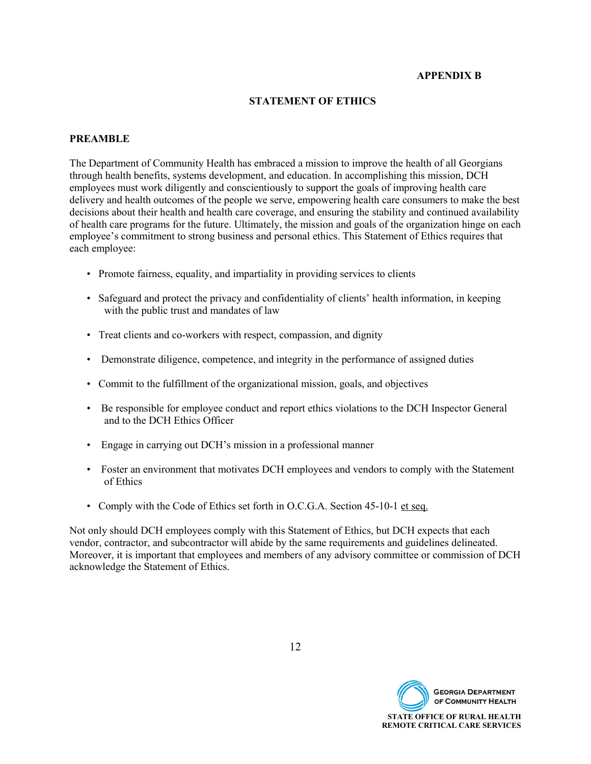#### **APPENDIX B**

#### **STATEMENT OF ETHICS**

#### **PREAMBLE**

The Department of Community Health has embraced a mission to improve the health of all Georgians through health benefits, systems development, and education. In accomplishing this mission, DCH employees must work diligently and conscientiously to support the goals of improving health care delivery and health outcomes of the people we serve, empowering health care consumers to make the best decisions about their health and health care coverage, and ensuring the stability and continued availability of health care programs for the future. Ultimately, the mission and goals of the organization hinge on each employee's commitment to strong business and personal ethics. This Statement of Ethics requires that each employee:

- Promote fairness, equality, and impartiality in providing services to clients
- Safeguard and protect the privacy and confidentiality of clients' health information, in keeping with the public trust and mandates of law
- Treat clients and co-workers with respect, compassion, and dignity
- Demonstrate diligence, competence, and integrity in the performance of assigned duties
- Commit to the fulfillment of the organizational mission, goals, and objectives
- Be responsible for employee conduct and report ethics violations to the DCH Inspector General and to the DCH Ethics Officer
- Engage in carrying out DCH's mission in a professional manner
- Foster an environment that motivates DCH employees and vendors to comply with the Statement of Ethics
- Comply with the Code of Ethics set forth in O.C.G.A. Section 45-10-1 et seq.

Not only should DCH employees comply with this Statement of Ethics, but DCH expects that each vendor, contractor, and subcontractor will abide by the same requirements and guidelines delineated. Moreover, it is important that employees and members of any advisory committee or commission of DCH acknowledge the Statement of Ethics.

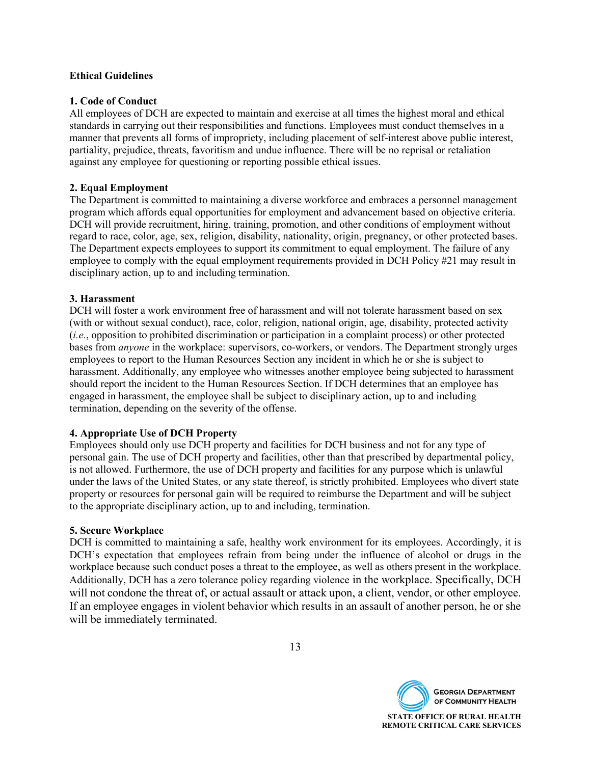#### **Ethical Guidelines**

#### **1. Code of Conduct**

All employees of DCH are expected to maintain and exercise at all times the highest moral and ethical standards in carrying out their responsibilities and functions. Employees must conduct themselves in a manner that prevents all forms of impropriety, including placement of self-interest above public interest, partiality, prejudice, threats, favoritism and undue influence. There will be no reprisal or retaliation against any employee for questioning or reporting possible ethical issues.

#### **2. Equal Employment**

The Department is committed to maintaining a diverse workforce and embraces a personnel management program which affords equal opportunities for employment and advancement based on objective criteria. DCH will provide recruitment, hiring, training, promotion, and other conditions of employment without regard to race, color, age, sex, religion, disability, nationality, origin, pregnancy, or other protected bases. The Department expects employees to support its commitment to equal employment. The failure of any employee to comply with the equal employment requirements provided in DCH Policy #21 may result in disciplinary action, up to and including termination.

#### **3. Harassment**

DCH will foster a work environment free of harassment and will not tolerate harassment based on sex (with or without sexual conduct), race, color, religion, national origin, age, disability, protected activity (*i.e.*, opposition to prohibited discrimination or participation in a complaint process) or other protected bases from *anyone* in the workplace: supervisors, co-workers, or vendors. The Department strongly urges employees to report to the Human Resources Section any incident in which he or she is subject to harassment. Additionally, any employee who witnesses another employee being subjected to harassment should report the incident to the Human Resources Section. If DCH determines that an employee has engaged in harassment, the employee shall be subject to disciplinary action, up to and including termination, depending on the severity of the offense.

#### **4. Appropriate Use of DCH Property**

Employees should only use DCH property and facilities for DCH business and not for any type of personal gain. The use of DCH property and facilities, other than that prescribed by departmental policy, is not allowed. Furthermore, the use of DCH property and facilities for any purpose which is unlawful under the laws of the United States, or any state thereof, is strictly prohibited. Employees who divert state property or resources for personal gain will be required to reimburse the Department and will be subject to the appropriate disciplinary action, up to and including, termination.

#### **5. Secure Workplace**

DCH is committed to maintaining a safe, healthy work environment for its employees. Accordingly, it is DCH's expectation that employees refrain from being under the influence of alcohol or drugs in the workplace because such conduct poses a threat to the employee, as well as others present in the workplace. Additionally, DCH has a zero tolerance policy regarding violence in the workplace. Specifically, DCH will not condone the threat of, or actual assault or attack upon, a client, vendor, or other employee. If an employee engages in violent behavior which results in an assault of another person, he or she will be immediately terminated.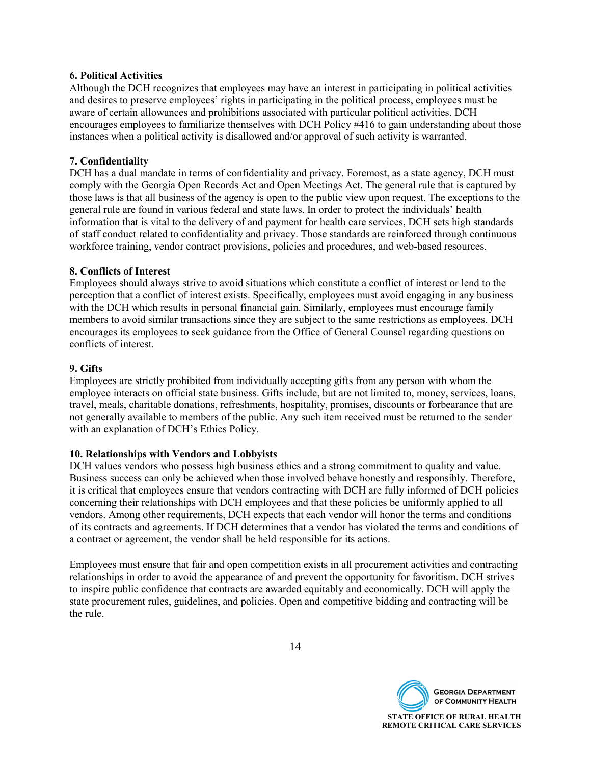#### **6. Political Activities**

Although the DCH recognizes that employees may have an interest in participating in political activities and desires to preserve employees' rights in participating in the political process, employees must be aware of certain allowances and prohibitions associated with particular political activities. DCH encourages employees to familiarize themselves with DCH Policy #416 to gain understanding about those instances when a political activity is disallowed and/or approval of such activity is warranted.

#### **7. Confidentiality**

DCH has a dual mandate in terms of confidentiality and privacy. Foremost, as a state agency, DCH must comply with the Georgia Open Records Act and Open Meetings Act. The general rule that is captured by those laws is that all business of the agency is open to the public view upon request. The exceptions to the general rule are found in various federal and state laws. In order to protect the individuals' health information that is vital to the delivery of and payment for health care services, DCH sets high standards of staff conduct related to confidentiality and privacy. Those standards are reinforced through continuous workforce training, vendor contract provisions, policies and procedures, and web-based resources.

#### **8. Conflicts of Interest**

Employees should always strive to avoid situations which constitute a conflict of interest or lend to the perception that a conflict of interest exists. Specifically, employees must avoid engaging in any business with the DCH which results in personal financial gain. Similarly, employees must encourage family members to avoid similar transactions since they are subject to the same restrictions as employees. DCH encourages its employees to seek guidance from the Office of General Counsel regarding questions on conflicts of interest.

#### **9. Gifts**

Employees are strictly prohibited from individually accepting gifts from any person with whom the employee interacts on official state business. Gifts include, but are not limited to, money, services, loans, travel, meals, charitable donations, refreshments, hospitality, promises, discounts or forbearance that are not generally available to members of the public. Any such item received must be returned to the sender with an explanation of DCH's Ethics Policy.

#### **10. Relationships with Vendors and Lobbyists**

DCH values vendors who possess high business ethics and a strong commitment to quality and value. Business success can only be achieved when those involved behave honestly and responsibly. Therefore, it is critical that employees ensure that vendors contracting with DCH are fully informed of DCH policies concerning their relationships with DCH employees and that these policies be uniformly applied to all vendors. Among other requirements, DCH expects that each vendor will honor the terms and conditions of its contracts and agreements. If DCH determines that a vendor has violated the terms and conditions of a contract or agreement, the vendor shall be held responsible for its actions.

Employees must ensure that fair and open competition exists in all procurement activities and contracting relationships in order to avoid the appearance of and prevent the opportunity for favoritism. DCH strives to inspire public confidence that contracts are awarded equitably and economically. DCH will apply the state procurement rules, guidelines, and policies. Open and competitive bidding and contracting will be the rule.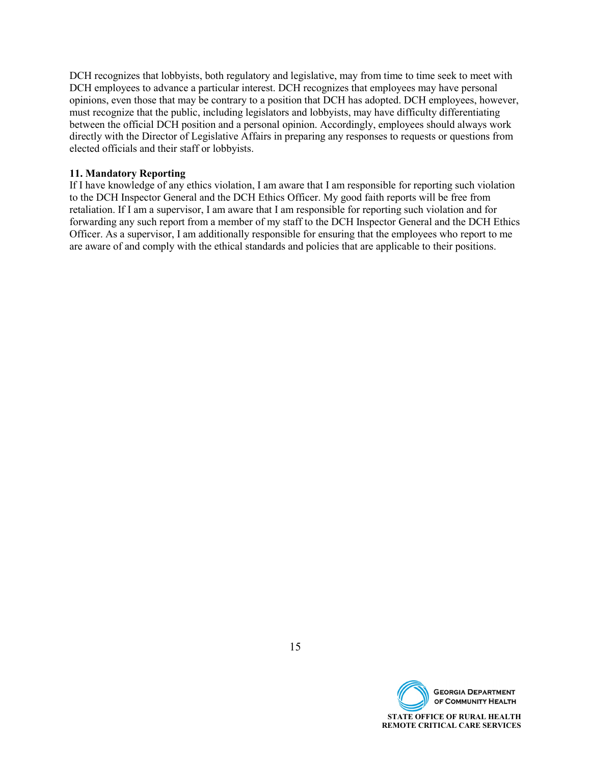DCH recognizes that lobbyists, both regulatory and legislative, may from time to time seek to meet with DCH employees to advance a particular interest. DCH recognizes that employees may have personal opinions, even those that may be contrary to a position that DCH has adopted. DCH employees, however, must recognize that the public, including legislators and lobbyists, may have difficulty differentiating between the official DCH position and a personal opinion. Accordingly, employees should always work directly with the Director of Legislative Affairs in preparing any responses to requests or questions from elected officials and their staff or lobbyists.

#### **11. Mandatory Reporting**

If I have knowledge of any ethics violation, I am aware that I am responsible for reporting such violation to the DCH Inspector General and the DCH Ethics Officer. My good faith reports will be free from retaliation. If I am a supervisor, I am aware that I am responsible for reporting such violation and for forwarding any such report from a member of my staff to the DCH Inspector General and the DCH Ethics Officer. As a supervisor, I am additionally responsible for ensuring that the employees who report to me are aware of and comply with the ethical standards and policies that are applicable to their positions.

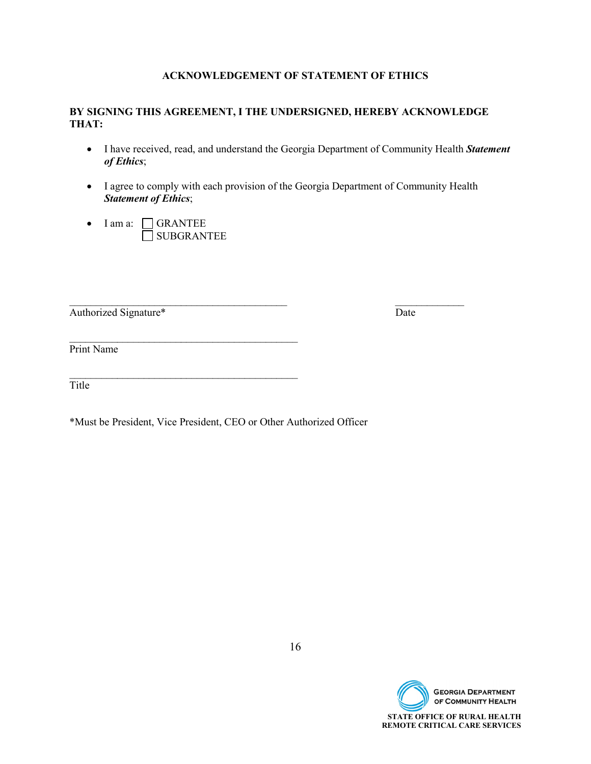#### **ACKNOWLEDGEMENT OF STATEMENT OF ETHICS**

#### **BY SIGNING THIS AGREEMENT, I THE UNDERSIGNED, HEREBY ACKNOWLEDGE THAT:**

- I have received, read, and understand the Georgia Department of Community Health *Statement of Ethics*;
- I agree to comply with each provision of the Georgia Department of Community Health *Statement of Ethics*;
- I am a: CRANTEE SUBGRANTEE

 $\mathcal{L}_\text{max}$  , and the contract of the contract of the contract of the contract of the contract of the contract of the contract of the contract of the contract of the contract of the contract of the contract of the contr

 $\mathcal{L}_\text{max}$  , and the contract of the contract of the contract of the contract of the contract of the contract of the contract of the contract of the contract of the contract of the contract of the contract of the contr

Authorized Signature\* Date

\_\_\_\_\_\_\_\_\_\_\_\_\_\_\_\_\_\_\_\_\_\_\_\_\_\_\_\_\_\_\_\_\_\_\_\_\_\_\_\_\_ \_\_\_\_\_\_\_\_\_\_\_\_\_

Print Name

Title

\*Must be President, Vice President, CEO or Other Authorized Officer

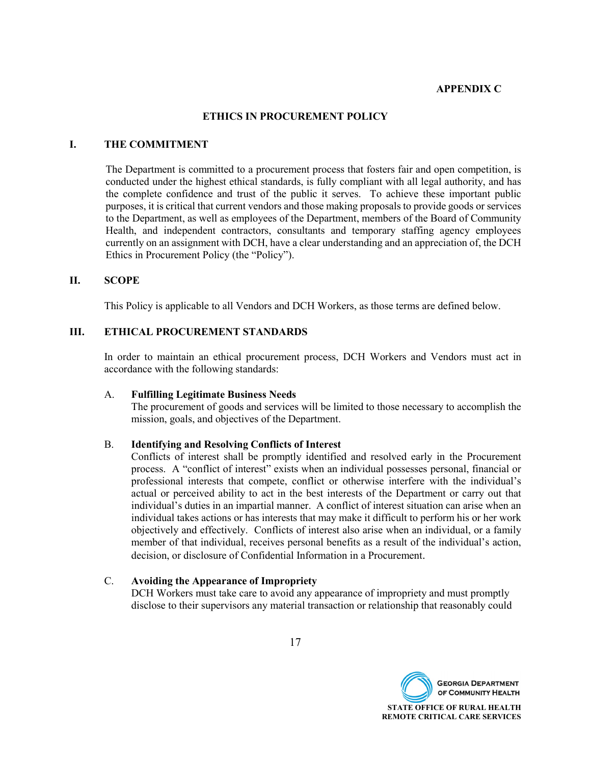#### **APPENDIX C**

#### **ETHICS IN PROCUREMENT POLICY**

#### **I. THE COMMITMENT**

The Department is committed to a procurement process that fosters fair and open competition, is conducted under the highest ethical standards, is fully compliant with all legal authority, and has the complete confidence and trust of the public it serves. To achieve these important public purposes, it is critical that current vendors and those making proposals to provide goods or services to the Department, as well as employees of the Department, members of the Board of Community Health, and independent contractors, consultants and temporary staffing agency employees currently on an assignment with DCH, have a clear understanding and an appreciation of, the DCH Ethics in Procurement Policy (the "Policy").

#### **II. SCOPE**

This Policy is applicable to all Vendors and DCH Workers, as those terms are defined below.

#### **III. ETHICAL PROCUREMENT STANDARDS**

In order to maintain an ethical procurement process, DCH Workers and Vendors must act in accordance with the following standards:

#### A. **Fulfilling Legitimate Business Needs**

The procurement of goods and services will be limited to those necessary to accomplish the mission, goals, and objectives of the Department.

#### B. **Identifying and Resolving Conflicts of Interest**

Conflicts of interest shall be promptly identified and resolved early in the Procurement process. A "conflict of interest" exists when an individual possesses personal, financial or professional interests that compete, conflict or otherwise interfere with the individual's actual or perceived ability to act in the best interests of the Department or carry out that individual's duties in an impartial manner. A conflict of interest situation can arise when an individual takes actions or has interests that may make it difficult to perform his or her work objectively and effectively. Conflicts of interest also arise when an individual, or a family member of that individual, receives personal benefits as a result of the individual's action, decision, or disclosure of Confidential Information in a Procurement.

#### C. **Avoiding the Appearance of Impropriety**

DCH Workers must take care to avoid any appearance of impropriety and must promptly disclose to their supervisors any material transaction or relationship that reasonably could

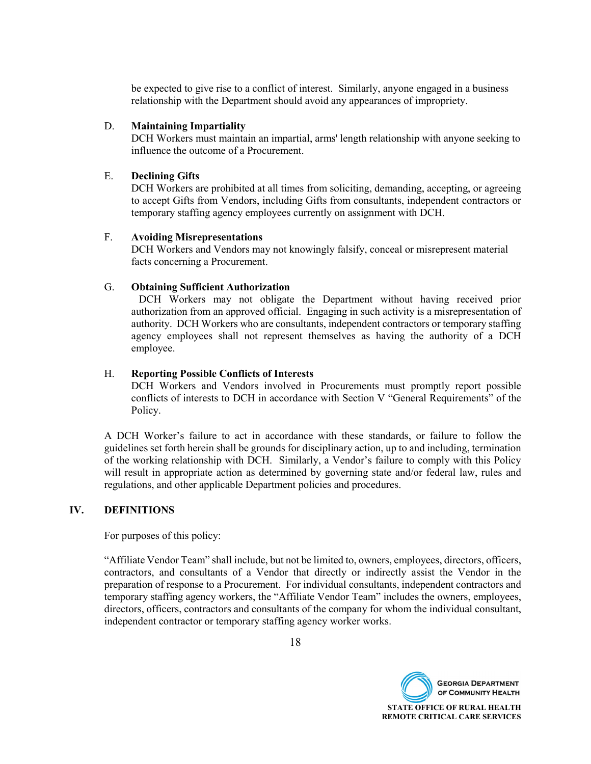be expected to give rise to a conflict of interest. Similarly, anyone engaged in a business relationship with the Department should avoid any appearances of impropriety.

#### D. **Maintaining Impartiality**

DCH Workers must maintain an impartial, arms' length relationship with anyone seeking to influence the outcome of a Procurement.

#### E. **Declining Gifts**

DCH Workers are prohibited at all times from soliciting, demanding, accepting, or agreeing to accept Gifts from Vendors, including Gifts from consultants, independent contractors or temporary staffing agency employees currently on assignment with DCH.

#### F. **Avoiding Misrepresentations**

DCH Workers and Vendors may not knowingly falsify, conceal or misrepresent material facts concerning a Procurement.

#### G. **Obtaining Sufficient Authorization**

DCH Workers may not obligate the Department without having received prior authorization from an approved official. Engaging in such activity is a misrepresentation of authority. DCH Workers who are consultants, independent contractors or temporary staffing agency employees shall not represent themselves as having the authority of a DCH employee.

#### H. **Reporting Possible Conflicts of Interests**

DCH Workers and Vendors involved in Procurements must promptly report possible conflicts of interests to DCH in accordance with Section V "General Requirements" of the Policy.

A DCH Worker's failure to act in accordance with these standards, or failure to follow the guidelines set forth herein shall be grounds for disciplinary action, up to and including, termination of the working relationship with DCH. Similarly, a Vendor's failure to comply with this Policy will result in appropriate action as determined by governing state and/or federal law, rules and regulations, and other applicable Department policies and procedures.

#### **IV. DEFINITIONS**

For purposes of this policy:

"Affiliate Vendor Team" shall include, but not be limited to, owners, employees, directors, officers, contractors, and consultants of a Vendor that directly or indirectly assist the Vendor in the preparation of response to a Procurement. For individual consultants, independent contractors and temporary staffing agency workers, the "Affiliate Vendor Team" includes the owners, employees, directors, officers, contractors and consultants of the company for whom the individual consultant, independent contractor or temporary staffing agency worker works.

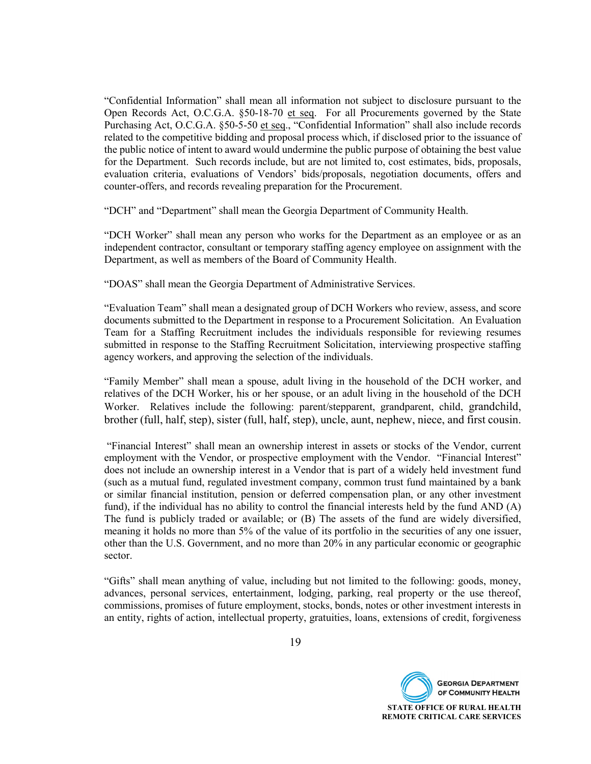"Confidential Information" shall mean all information not subject to disclosure pursuant to the Open Records Act, O.C.G.A. §50-18-70 et seq. For all Procurements governed by the State Purchasing Act, O.C.G.A. §50-5-50 et seq., "Confidential Information" shall also include records related to the competitive bidding and proposal process which, if disclosed prior to the issuance of the public notice of intent to award would undermine the public purpose of obtaining the best value for the Department. Such records include, but are not limited to, cost estimates, bids, proposals, evaluation criteria, evaluations of Vendors' bids/proposals, negotiation documents, offers and counter-offers, and records revealing preparation for the Procurement.

"DCH" and "Department" shall mean the Georgia Department of Community Health.

"DCH Worker" shall mean any person who works for the Department as an employee or as an independent contractor, consultant or temporary staffing agency employee on assignment with the Department, as well as members of the Board of Community Health.

"DOAS" shall mean the Georgia Department of Administrative Services.

"Evaluation Team" shall mean a designated group of DCH Workers who review, assess, and score documents submitted to the Department in response to a Procurement Solicitation. An Evaluation Team for a Staffing Recruitment includes the individuals responsible for reviewing resumes submitted in response to the Staffing Recruitment Solicitation, interviewing prospective staffing agency workers, and approving the selection of the individuals.

"Family Member" shall mean a spouse, adult living in the household of the DCH worker, and relatives of the DCH Worker, his or her spouse, or an adult living in the household of the DCH Worker. Relatives include the following: parent/stepparent, grandparent, child, grandchild, brother (full, half, step), sister (full, half, step), uncle, aunt, nephew, niece, and first cousin.

"Financial Interest" shall mean an ownership interest in assets or stocks of the Vendor, current employment with the Vendor, or prospective employment with the Vendor. "Financial Interest" does not include an ownership interest in a Vendor that is part of a widely held investment fund (such as a mutual fund, regulated investment company, common trust fund maintained by a bank or similar financial institution, pension or deferred compensation plan, or any other investment fund), if the individual has no ability to control the financial interests held by the fund AND (A) The fund is publicly traded or available; or (B) The assets of the fund are widely diversified, meaning it holds no more than 5% of the value of its portfolio in the securities of any one issuer, other than the U.S. Government, and no more than 20% in any particular economic or geographic sector.

"Gifts" shall mean anything of value, including but not limited to the following: goods, money, advances, personal services, entertainment, lodging, parking, real property or the use thereof, commissions, promises of future employment, stocks, bonds, notes or other investment interests in an entity, rights of action, intellectual property, gratuities, loans, extensions of credit, forgiveness

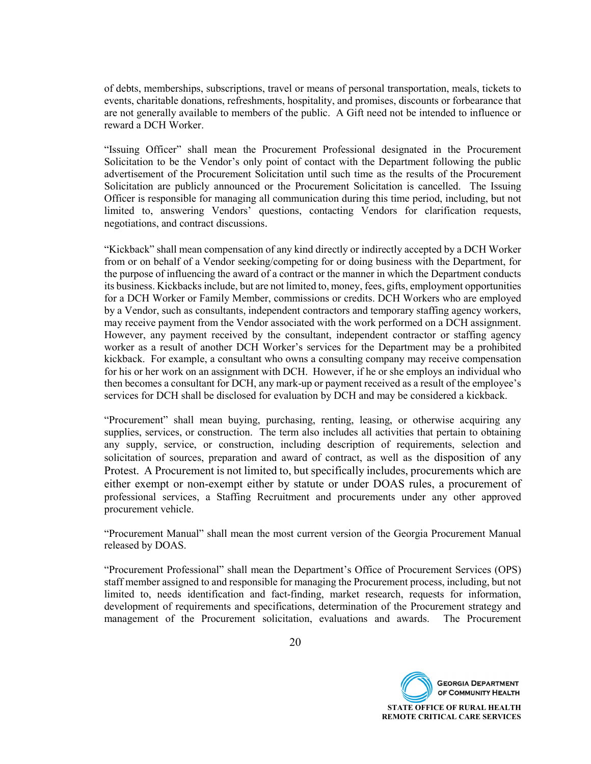of debts, memberships, subscriptions, travel or means of personal transportation, meals, tickets to events, charitable donations, refreshments, hospitality, and promises, discounts or forbearance that are not generally available to members of the public. A Gift need not be intended to influence or reward a DCH Worker.

"Issuing Officer" shall mean the Procurement Professional designated in the Procurement Solicitation to be the Vendor's only point of contact with the Department following the public advertisement of the Procurement Solicitation until such time as the results of the Procurement Solicitation are publicly announced or the Procurement Solicitation is cancelled. The Issuing Officer is responsible for managing all communication during this time period, including, but not limited to, answering Vendors' questions, contacting Vendors for clarification requests, negotiations, and contract discussions.

"Kickback" shall mean compensation of any kind directly or indirectly accepted by a DCH Worker from or on behalf of a Vendor seeking/competing for or doing business with the Department, for the purpose of influencing the award of a contract or the manner in which the Department conducts its business. Kickbacks include, but are not limited to, money, fees, gifts, employment opportunities for a DCH Worker or Family Member, commissions or credits. DCH Workers who are employed by a Vendor, such as consultants, independent contractors and temporary staffing agency workers, may receive payment from the Vendor associated with the work performed on a DCH assignment. However, any payment received by the consultant, independent contractor or staffing agency worker as a result of another DCH Worker's services for the Department may be a prohibited kickback. For example, a consultant who owns a consulting company may receive compensation for his or her work on an assignment with DCH. However, if he or she employs an individual who then becomes a consultant for DCH, any mark-up or payment received as a result of the employee's services for DCH shall be disclosed for evaluation by DCH and may be considered a kickback.

"Procurement" shall mean buying, purchasing, renting, leasing, or otherwise acquiring any supplies, services, or construction. The term also includes all activities that pertain to obtaining any supply, service, or construction, including description of requirements, selection and solicitation of sources, preparation and award of contract, as well as the disposition of any Protest. A Procurement is not limited to, but specifically includes, procurements which are either exempt or non-exempt either by statute or under DOAS rules, a procurement of professional services, a Staffing Recruitment and procurements under any other approved procurement vehicle.

"Procurement Manual" shall mean the most current version of the Georgia Procurement Manual released by DOAS.

"Procurement Professional" shall mean the Department's Office of Procurement Services (OPS) staff member assigned to and responsible for managing the Procurement process, including, but not limited to, needs identification and fact-finding, market research, requests for information, development of requirements and specifications, determination of the Procurement strategy and management of the Procurement solicitation, evaluations and awards. The Procurement

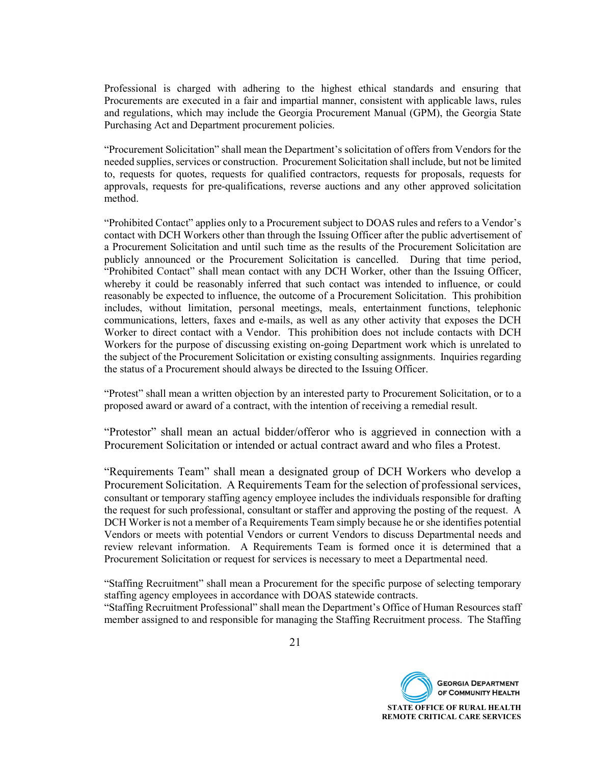Professional is charged with adhering to the highest ethical standards and ensuring that Procurements are executed in a fair and impartial manner, consistent with applicable laws, rules and regulations, which may include the Georgia Procurement Manual (GPM), the Georgia State Purchasing Act and Department procurement policies.

"Procurement Solicitation" shall mean the Department's solicitation of offers from Vendors for the needed supplies, services or construction. Procurement Solicitation shall include, but not be limited to, requests for quotes, requests for qualified contractors, requests for proposals, requests for approvals, requests for pre-qualifications, reverse auctions and any other approved solicitation method.

"Prohibited Contact" applies only to a Procurement subject to DOAS rules and refers to a Vendor's contact with DCH Workers other than through the Issuing Officer after the public advertisement of a Procurement Solicitation and until such time as the results of the Procurement Solicitation are publicly announced or the Procurement Solicitation is cancelled. During that time period, "Prohibited Contact" shall mean contact with any DCH Worker, other than the Issuing Officer, whereby it could be reasonably inferred that such contact was intended to influence, or could reasonably be expected to influence, the outcome of a Procurement Solicitation. This prohibition includes, without limitation, personal meetings, meals, entertainment functions, telephonic communications, letters, faxes and e-mails, as well as any other activity that exposes the DCH Worker to direct contact with a Vendor. This prohibition does not include contacts with DCH Workers for the purpose of discussing existing on-going Department work which is unrelated to the subject of the Procurement Solicitation or existing consulting assignments. Inquiries regarding the status of a Procurement should always be directed to the Issuing Officer.

"Protest" shall mean a written objection by an interested party to Procurement Solicitation, or to a proposed award or award of a contract, with the intention of receiving a remedial result.

"Protestor" shall mean an actual bidder/offeror who is aggrieved in connection with a Procurement Solicitation or intended or actual contract award and who files a Protest.

"Requirements Team" shall mean a designated group of DCH Workers who develop a Procurement Solicitation. A Requirements Team for the selection of professional services, consultant or temporary staffing agency employee includes the individuals responsible for drafting the request for such professional, consultant or staffer and approving the posting of the request. A DCH Worker is not a member of a Requirements Team simply because he or she identifies potential Vendors or meets with potential Vendors or current Vendors to discuss Departmental needs and review relevant information. A Requirements Team is formed once it is determined that a Procurement Solicitation or request for services is necessary to meet a Departmental need.

"Staffing Recruitment" shall mean a Procurement for the specific purpose of selecting temporary staffing agency employees in accordance with DOAS statewide contracts.

"Staffing Recruitment Professional" shall mean the Department's Office of Human Resources staff member assigned to and responsible for managing the Staffing Recruitment process. The Staffing

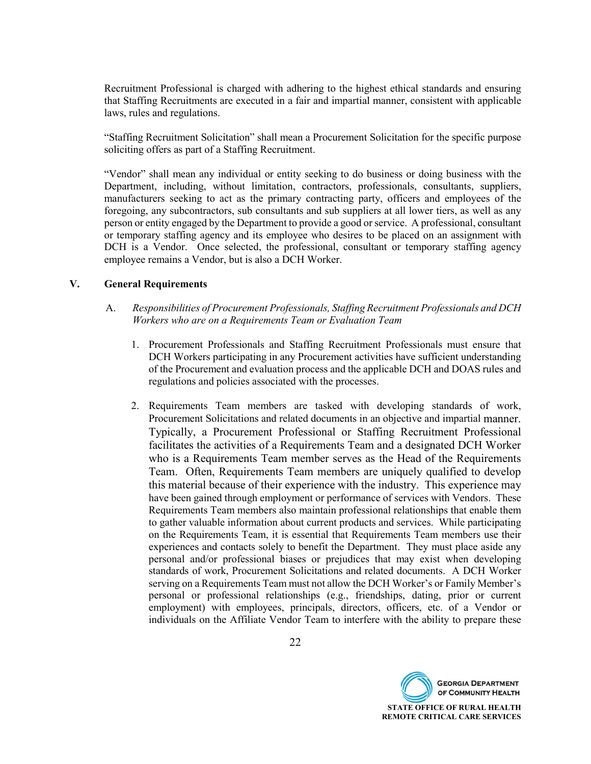Recruitment Professional is charged with adhering to the highest ethical standards and ensuring that Staffing Recruitments are executed in a fair and impartial manner, consistent with applicable laws, rules and regulations.

"Staffing Recruitment Solicitation" shall mean a Procurement Solicitation for the specific purpose soliciting offers as part of a Staffing Recruitment.

"Vendor" shall mean any individual or entity seeking to do business or doing business with the Department, including, without limitation, contractors, professionals, consultants, suppliers, manufacturers seeking to act as the primary contracting party, officers and employees of the foregoing, any subcontractors, sub consultants and sub suppliers at all lower tiers, as well as any person or entity engaged by the Department to provide a good or service. A professional, consultant or temporary staffing agency and its employee who desires to be placed on an assignment with DCH is a Vendor. Once selected, the professional, consultant or temporary staffing agency employee remains a Vendor, but is also a DCH Worker.

#### **V. General Requirements**

- A. *Responsibilities of Procurement Professionals, Staffing Recruitment Professionals and DCH Workers who are on a Requirements Team or Evaluation Team*
	- 1. Procurement Professionals and Staffing Recruitment Professionals must ensure that DCH Workers participating in any Procurement activities have sufficient understanding of the Procurement and evaluation process and the applicable DCH and DOAS rules and regulations and policies associated with the processes.
	- 2. Requirements Team members are tasked with developing standards of work, Procurement Solicitations and related documents in an objective and impartial manner. Typically, a Procurement Professional or Staffing Recruitment Professional facilitates the activities of a Requirements Team and a designated DCH Worker who is a Requirements Team member serves as the Head of the Requirements Team. Often, Requirements Team members are uniquely qualified to develop this material because of their experience with the industry. This experience may have been gained through employment or performance of services with Vendors. These Requirements Team members also maintain professional relationships that enable them to gather valuable information about current products and services. While participating on the Requirements Team, it is essential that Requirements Team members use their experiences and contacts solely to benefit the Department. They must place aside any personal and/or professional biases or prejudices that may exist when developing standards of work, Procurement Solicitations and related documents. A DCH Worker serving on a Requirements Team must not allow the DCH Worker's or Family Member's personal or professional relationships (e.g., friendships, dating, prior or current employment) with employees, principals, directors, officers, etc. of a Vendor or individuals on the Affiliate Vendor Team to interfere with the ability to prepare these

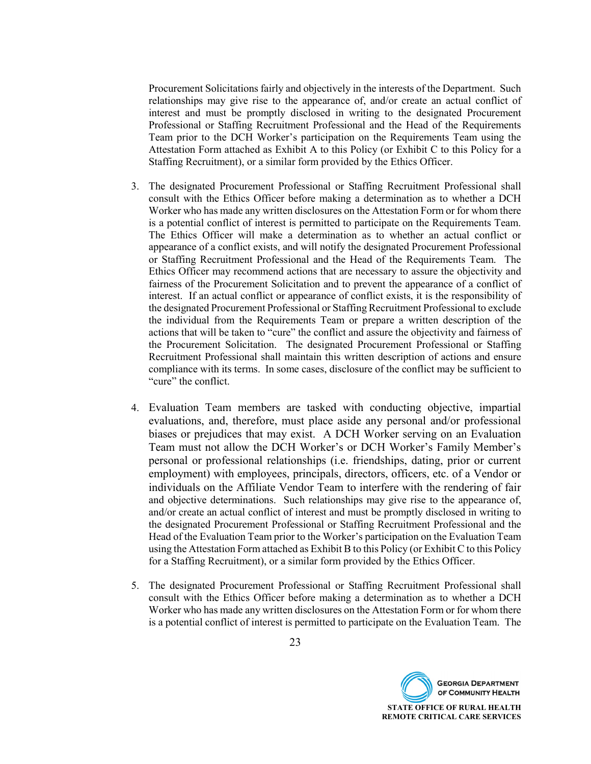Procurement Solicitations fairly and objectively in the interests of the Department. Such relationships may give rise to the appearance of, and/or create an actual conflict of interest and must be promptly disclosed in writing to the designated Procurement Professional or Staffing Recruitment Professional and the Head of the Requirements Team prior to the DCH Worker's participation on the Requirements Team using the Attestation Form attached as Exhibit A to this Policy (or Exhibit C to this Policy for a Staffing Recruitment), or a similar form provided by the Ethics Officer.

- 3. The designated Procurement Professional or Staffing Recruitment Professional shall consult with the Ethics Officer before making a determination as to whether a DCH Worker who has made any written disclosures on the Attestation Form or for whom there is a potential conflict of interest is permitted to participate on the Requirements Team. The Ethics Officer will make a determination as to whether an actual conflict or appearance of a conflict exists, and will notify the designated Procurement Professional or Staffing Recruitment Professional and the Head of the Requirements Team. The Ethics Officer may recommend actions that are necessary to assure the objectivity and fairness of the Procurement Solicitation and to prevent the appearance of a conflict of interest. If an actual conflict or appearance of conflict exists, it is the responsibility of the designated Procurement Professional or Staffing Recruitment Professional to exclude the individual from the Requirements Team or prepare a written description of the actions that will be taken to "cure" the conflict and assure the objectivity and fairness of the Procurement Solicitation. The designated Procurement Professional or Staffing Recruitment Professional shall maintain this written description of actions and ensure compliance with its terms. In some cases, disclosure of the conflict may be sufficient to "cure" the conflict.
- 4. Evaluation Team members are tasked with conducting objective, impartial evaluations, and, therefore, must place aside any personal and/or professional biases or prejudices that may exist. A DCH Worker serving on an Evaluation Team must not allow the DCH Worker's or DCH Worker's Family Member's personal or professional relationships (i.e. friendships, dating, prior or current employment) with employees, principals, directors, officers, etc. of a Vendor or individuals on the Affiliate Vendor Team to interfere with the rendering of fair and objective determinations. Such relationships may give rise to the appearance of, and/or create an actual conflict of interest and must be promptly disclosed in writing to the designated Procurement Professional or Staffing Recruitment Professional and the Head of the Evaluation Team prior to the Worker's participation on the Evaluation Team using the Attestation Form attached as Exhibit B to this Policy (or Exhibit C to this Policy for a Staffing Recruitment), or a similar form provided by the Ethics Officer.
- 5. The designated Procurement Professional or Staffing Recruitment Professional shall consult with the Ethics Officer before making a determination as to whether a DCH Worker who has made any written disclosures on the Attestation Form or for whom there is a potential conflict of interest is permitted to participate on the Evaluation Team. The

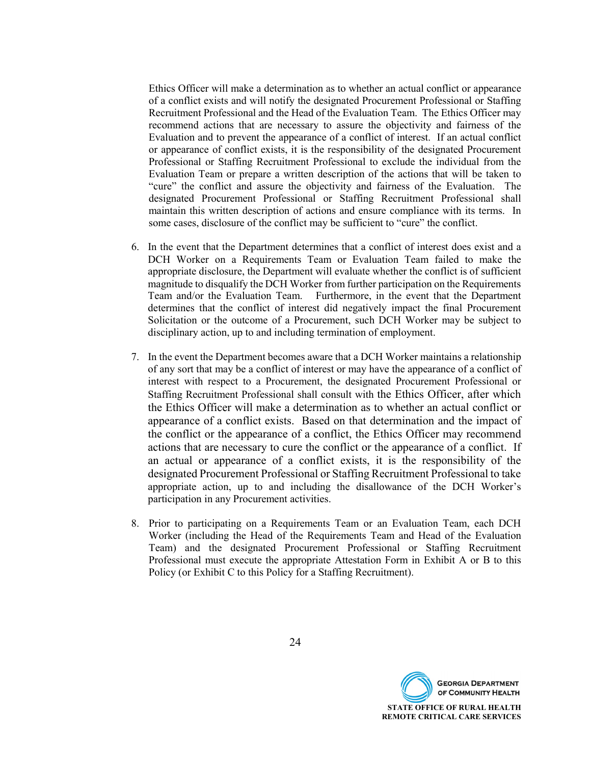Ethics Officer will make a determination as to whether an actual conflict or appearance of a conflict exists and will notify the designated Procurement Professional or Staffing Recruitment Professional and the Head of the Evaluation Team. The Ethics Officer may recommend actions that are necessary to assure the objectivity and fairness of the Evaluation and to prevent the appearance of a conflict of interest. If an actual conflict or appearance of conflict exists, it is the responsibility of the designated Procurement Professional or Staffing Recruitment Professional to exclude the individual from the Evaluation Team or prepare a written description of the actions that will be taken to "cure" the conflict and assure the objectivity and fairness of the Evaluation. The designated Procurement Professional or Staffing Recruitment Professional shall maintain this written description of actions and ensure compliance with its terms. In some cases, disclosure of the conflict may be sufficient to "cure" the conflict.

- 6. In the event that the Department determines that a conflict of interest does exist and a DCH Worker on a Requirements Team or Evaluation Team failed to make the appropriate disclosure, the Department will evaluate whether the conflict is of sufficient magnitude to disqualify the DCH Worker from further participation on the Requirements Team and/or the Evaluation Team. Furthermore, in the event that the Department determines that the conflict of interest did negatively impact the final Procurement Solicitation or the outcome of a Procurement, such DCH Worker may be subject to disciplinary action, up to and including termination of employment.
- 7. In the event the Department becomes aware that a DCH Worker maintains a relationship of any sort that may be a conflict of interest or may have the appearance of a conflict of interest with respect to a Procurement, the designated Procurement Professional or Staffing Recruitment Professional shall consult with the Ethics Officer, after which the Ethics Officer will make a determination as to whether an actual conflict or appearance of a conflict exists. Based on that determination and the impact of the conflict or the appearance of a conflict, the Ethics Officer may recommend actions that are necessary to cure the conflict or the appearance of a conflict. If an actual or appearance of a conflict exists, it is the responsibility of the designated Procurement Professional or Staffing Recruitment Professional to take appropriate action, up to and including the disallowance of the DCH Worker's participation in any Procurement activities.
- 8. Prior to participating on a Requirements Team or an Evaluation Team, each DCH Worker (including the Head of the Requirements Team and Head of the Evaluation Team) and the designated Procurement Professional or Staffing Recruitment Professional must execute the appropriate Attestation Form in Exhibit A or B to this Policy (or Exhibit C to this Policy for a Staffing Recruitment).

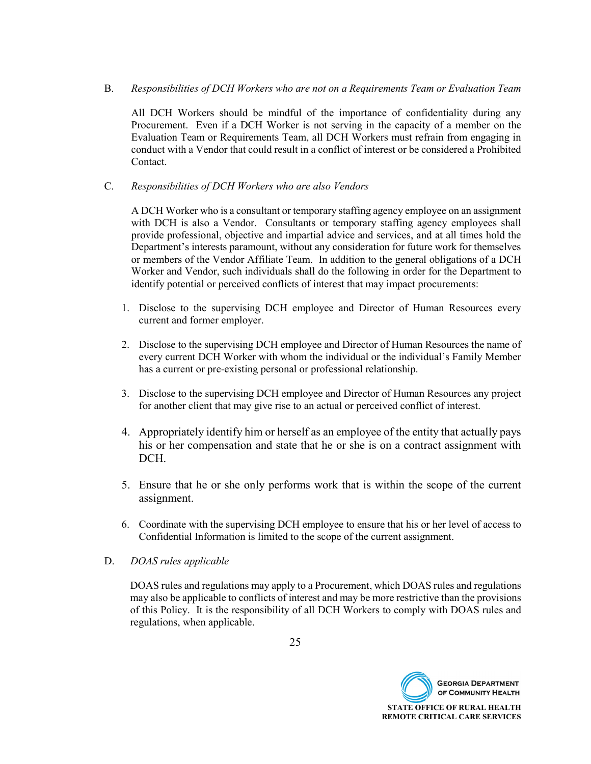B. *Responsibilities of DCH Workers who are not on a Requirements Team or Evaluation Team*

All DCH Workers should be mindful of the importance of confidentiality during any Procurement. Even if a DCH Worker is not serving in the capacity of a member on the Evaluation Team or Requirements Team, all DCH Workers must refrain from engaging in conduct with a Vendor that could result in a conflict of interest or be considered a Prohibited Contact.

C. *Responsibilities of DCH Workers who are also Vendors*

A DCH Worker who is a consultant or temporary staffing agency employee on an assignment with DCH is also a Vendor. Consultants or temporary staffing agency employees shall provide professional, objective and impartial advice and services, and at all times hold the Department's interests paramount, without any consideration for future work for themselves or members of the Vendor Affiliate Team. In addition to the general obligations of a DCH Worker and Vendor, such individuals shall do the following in order for the Department to identify potential or perceived conflicts of interest that may impact procurements:

- 1. Disclose to the supervising DCH employee and Director of Human Resources every current and former employer.
- 2. Disclose to the supervising DCH employee and Director of Human Resources the name of every current DCH Worker with whom the individual or the individual's Family Member has a current or pre-existing personal or professional relationship.
- 3. Disclose to the supervising DCH employee and Director of Human Resources any project for another client that may give rise to an actual or perceived conflict of interest.
- 4. Appropriately identify him or herself as an employee of the entity that actually pays his or her compensation and state that he or she is on a contract assignment with DCH.
- 5. Ensure that he or she only performs work that is within the scope of the current assignment.
- 6. Coordinate with the supervising DCH employee to ensure that his or her level of access to Confidential Information is limited to the scope of the current assignment.
- D. *DOAS rules applicable*

DOAS rules and regulations may apply to a Procurement, which DOAS rules and regulations may also be applicable to conflicts of interest and may be more restrictive than the provisions of this Policy. It is the responsibility of all DCH Workers to comply with DOAS rules and regulations, when applicable.

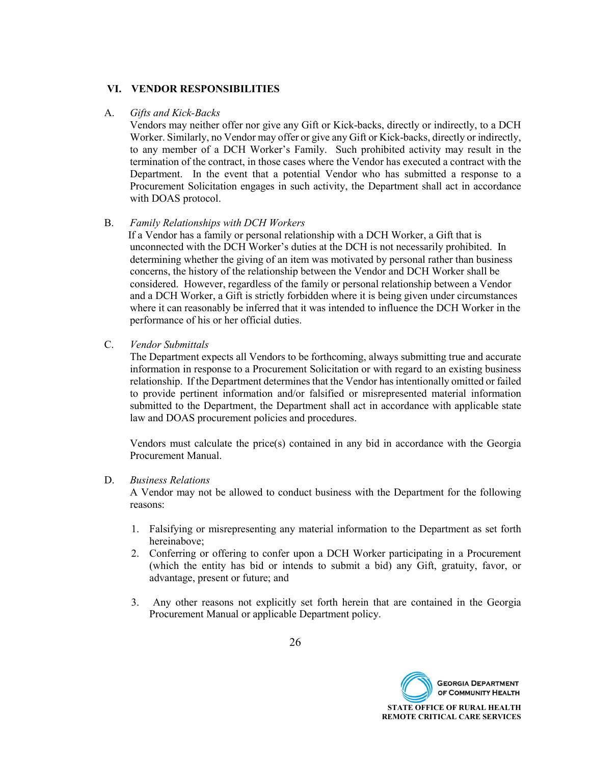#### **VI. VENDOR RESPONSIBILITIES**

#### A. *Gifts and Kick-Backs*

Vendors may neither offer nor give any Gift or Kick-backs, directly or indirectly, to a DCH Worker. Similarly, no Vendor may offer or give any Gift or Kick-backs, directly or indirectly, to any member of a DCH Worker's Family. Such prohibited activity may result in the termination of the contract, in those cases where the Vendor has executed a contract with the Department. In the event that a potential Vendor who has submitted a response to a Procurement Solicitation engages in such activity, the Department shall act in accordance with DOAS protocol.

#### B. *Family Relationships with DCH Workers*

 If a Vendor has a family or personal relationship with a DCH Worker, a Gift that is unconnected with the DCH Worker's duties at the DCH is not necessarily prohibited. In determining whether the giving of an item was motivated by personal rather than business concerns, the history of the relationship between the Vendor and DCH Worker shall be considered. However, regardless of the family or personal relationship between a Vendor and a DCH Worker, a Gift is strictly forbidden where it is being given under circumstances where it can reasonably be inferred that it was intended to influence the DCH Worker in the performance of his or her official duties.

C. *Vendor Submittals*

The Department expects all Vendors to be forthcoming, always submitting true and accurate information in response to a Procurement Solicitation or with regard to an existing business relationship. If the Department determines that the Vendor has intentionally omitted or failed to provide pertinent information and/or falsified or misrepresented material information submitted to the Department, the Department shall act in accordance with applicable state law and DOAS procurement policies and procedures.

Vendors must calculate the price(s) contained in any bid in accordance with the Georgia Procurement Manual.

#### D. *Business Relations*

A Vendor may not be allowed to conduct business with the Department for the following reasons:

- 1. Falsifying or misrepresenting any material information to the Department as set forth hereinabove;
- 2. Conferring or offering to confer upon a DCH Worker participating in a Procurement (which the entity has bid or intends to submit a bid) any Gift, gratuity, favor, or advantage, present or future; and
- 3. Any other reasons not explicitly set forth herein that are contained in the Georgia Procurement Manual or applicable Department policy.

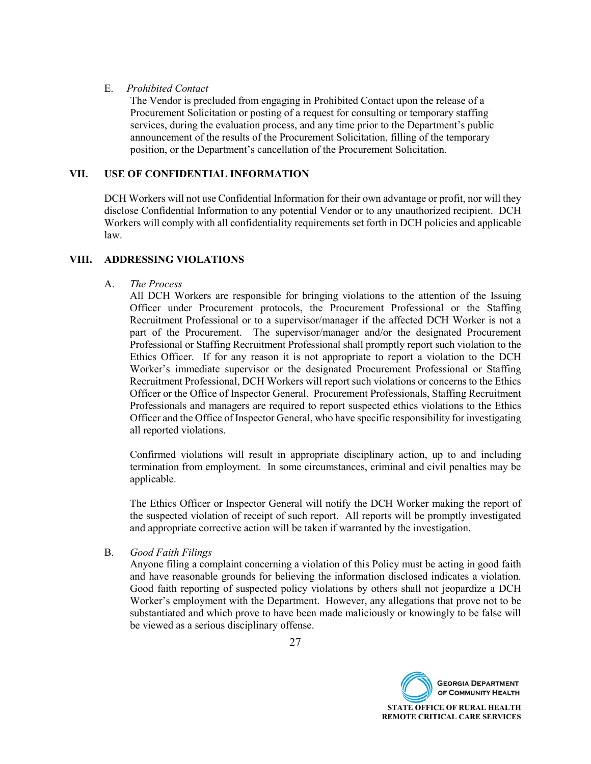#### E. *Prohibited Contact*

The Vendor is precluded from engaging in Prohibited Contact upon the release of a Procurement Solicitation or posting of a request for consulting or temporary staffing services, during the evaluation process, and any time prior to the Department's public announcement of the results of the Procurement Solicitation, filling of the temporary position, or the Department's cancellation of the Procurement Solicitation.

#### **VII. USE OF CONFIDENTIAL INFORMATION**

DCH Workers will not use Confidential Information for their own advantage or profit, nor will they disclose Confidential Information to any potential Vendor or to any unauthorized recipient. DCH Workers will comply with all confidentiality requirements set forth in DCH policies and applicable law.

#### **VIII. ADDRESSING VIOLATIONS**

#### A. *The Process*

All DCH Workers are responsible for bringing violations to the attention of the Issuing Officer under Procurement protocols, the Procurement Professional or the Staffing Recruitment Professional or to a supervisor/manager if the affected DCH Worker is not a part of the Procurement. The supervisor/manager and/or the designated Procurement Professional or Staffing Recruitment Professional shall promptly report such violation to the Ethics Officer. If for any reason it is not appropriate to report a violation to the DCH Worker's immediate supervisor or the designated Procurement Professional or Staffing Recruitment Professional, DCH Workers will report such violations or concerns to the Ethics Officer or the Office of Inspector General. Procurement Professionals, Staffing Recruitment Professionals and managers are required to report suspected ethics violations to the Ethics Officer and the Office of Inspector General, who have specific responsibility for investigating all reported violations.

Confirmed violations will result in appropriate disciplinary action, up to and including termination from employment. In some circumstances, criminal and civil penalties may be applicable.

The Ethics Officer or Inspector General will notify the DCH Worker making the report of the suspected violation of receipt of such report. All reports will be promptly investigated and appropriate corrective action will be taken if warranted by the investigation.

#### B. *Good Faith Filings*

Anyone filing a complaint concerning a violation of this Policy must be acting in good faith and have reasonable grounds for believing the information disclosed indicates a violation. Good faith reporting of suspected policy violations by others shall not jeopardize a DCH Worker's employment with the Department. However, any allegations that prove not to be substantiated and which prove to have been made maliciously or knowingly to be false will be viewed as a serious disciplinary offense.

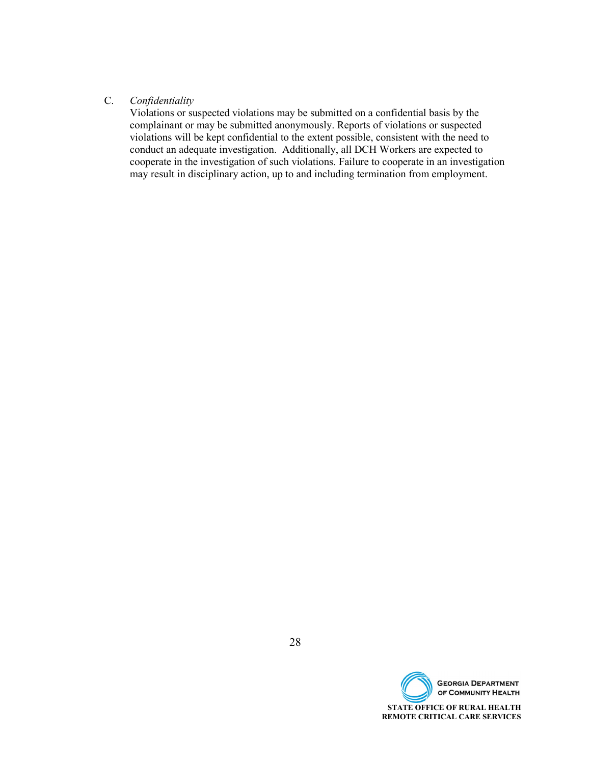#### C. *Confidentiality*

Violations or suspected violations may be submitted on a confidential basis by the complainant or may be submitted anonymously. Reports of violations or suspected violations will be kept confidential to the extent possible, consistent with the need to conduct an adequate investigation. Additionally, all DCH Workers are expected to cooperate in the investigation of such violations. Failure to cooperate in an investigation may result in disciplinary action, up to and including termination from employment.

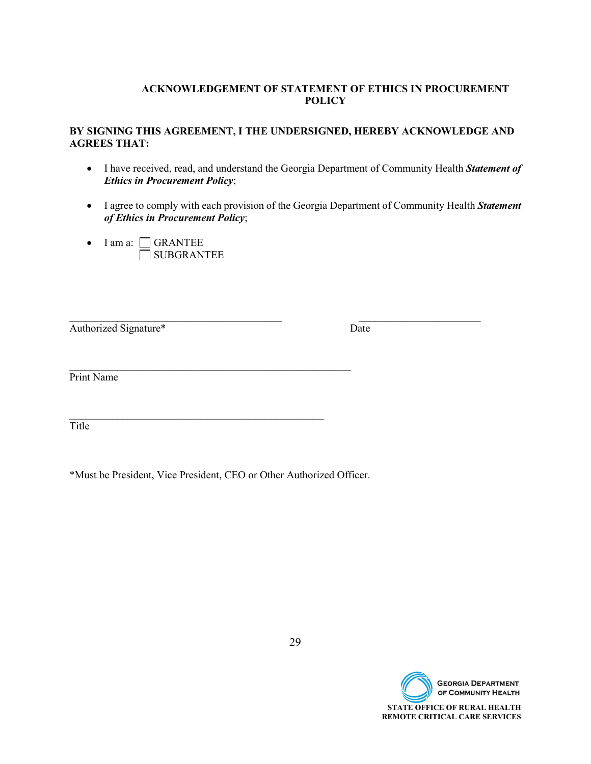#### **ACKNOWLEDGEMENT OF STATEMENT OF ETHICS IN PROCUREMENT POLICY**

#### **BY SIGNING THIS AGREEMENT, I THE UNDERSIGNED, HEREBY ACKNOWLEDGE AND AGREES THAT:**

- I have received, read, and understand the Georgia Department of Community Health *Statement of Ethics in Procurement Policy*;
- I agree to comply with each provision of the Georgia Department of Community Health *Statement of Ethics in Procurement Policy*;

 $\mathcal{L}_\text{max}$  , and the contribution of the contribution of the contribution of the contribution of the contribution of the contribution of the contribution of the contribution of the contribution of the contribution of t

• I am a:  $\Box$  GRANTEE SUBGRANTEE

Authorized Signature\* Date

Print Name

 $\mathcal{L}_\text{max}$  , and the contract of the contract of the contract of the contract of the contract of the contract of the contract of the contract of the contract of the contract of the contract of the contract of the contr Title

\*Must be President, Vice President, CEO or Other Authorized Officer.

 $\mathcal{L}_\text{max}$  , and the contract of the contract of the contract of the contract of the contract of the contract of the contract of the contract of the contract of the contract of the contract of the contract of the contr

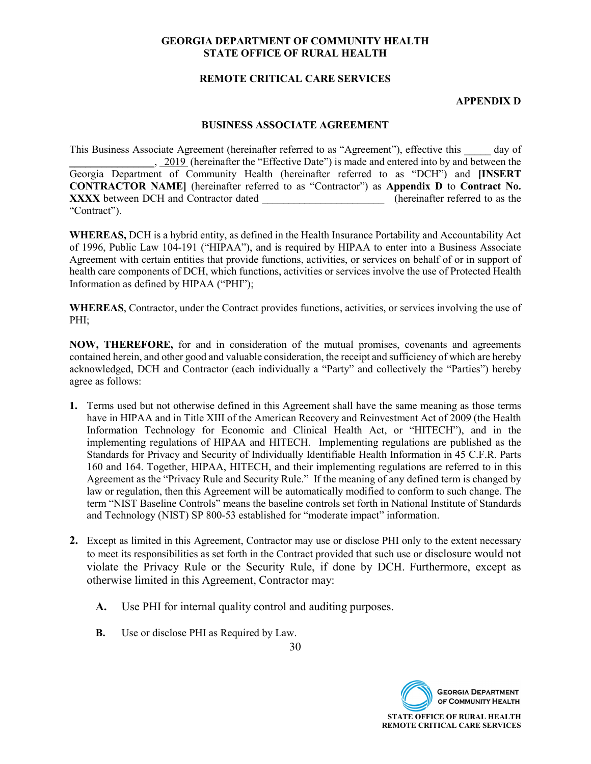#### **REMOTE CRITICAL CARE SERVICES**

#### **APPENDIX D**

#### **BUSINESS ASSOCIATE AGREEMENT**

This Business Associate Agreement (hereinafter referred to as "Agreement"), effective this \_\_\_\_\_ day of <sub>1</sub>, 2019 (hereinafter the "Effective Date") is made and entered into by and between the Georgia Department of Community Health (hereinafter referred to as "DCH") and **[INSERT CONTRACTOR NAME]** (hereinafter referred to as "Contractor") as **Appendix D** to **Contract No. XXXX** between DCH and Contractor dated to a set the example of the elementer referred to as the "Contract").

**WHEREAS,** DCH is a hybrid entity, as defined in the Health Insurance Portability and Accountability Act of 1996, Public Law 104-191 ("HIPAA"), and is required by HIPAA to enter into a Business Associate Agreement with certain entities that provide functions, activities, or services on behalf of or in support of health care components of DCH, which functions, activities or services involve the use of Protected Health Information as defined by HIPAA ("PHI");

**WHEREAS**, Contractor, under the Contract provides functions, activities, or services involving the use of PHI;

**NOW, THEREFORE,** for and in consideration of the mutual promises, covenants and agreements contained herein, and other good and valuable consideration, the receipt and sufficiency of which are hereby acknowledged, DCH and Contractor (each individually a "Party" and collectively the "Parties") hereby agree as follows:

- **1.** Terms used but not otherwise defined in this Agreement shall have the same meaning as those terms have in HIPAA and in Title XIII of the American Recovery and Reinvestment Act of 2009 (the Health Information Technology for Economic and Clinical Health Act, or "HITECH"), and in the implementing regulations of HIPAA and HITECH. Implementing regulations are published as the Standards for Privacy and Security of Individually Identifiable Health Information in 45 C.F.R. Parts 160 and 164. Together, HIPAA, HITECH, and their implementing regulations are referred to in this Agreement as the "Privacy Rule and Security Rule." If the meaning of any defined term is changed by law or regulation, then this Agreement will be automatically modified to conform to such change. The term "NIST Baseline Controls" means the baseline controls set forth in National Institute of Standards and Technology (NIST) SP 800-53 established for "moderate impact" information.
- **2.** Except as limited in this Agreement, Contractor may use or disclose PHI only to the extent necessary to meet its responsibilities as set forth in the Contract provided that such use or disclosure would not violate the Privacy Rule or the Security Rule, if done by DCH. Furthermore, except as otherwise limited in this Agreement, Contractor may:
	- **A.** Use PHI for internal quality control and auditing purposes.
	- **B.** Use or disclose PHI as Required by Law.

**REMOTE CRITICAL CARE SERVICES** 

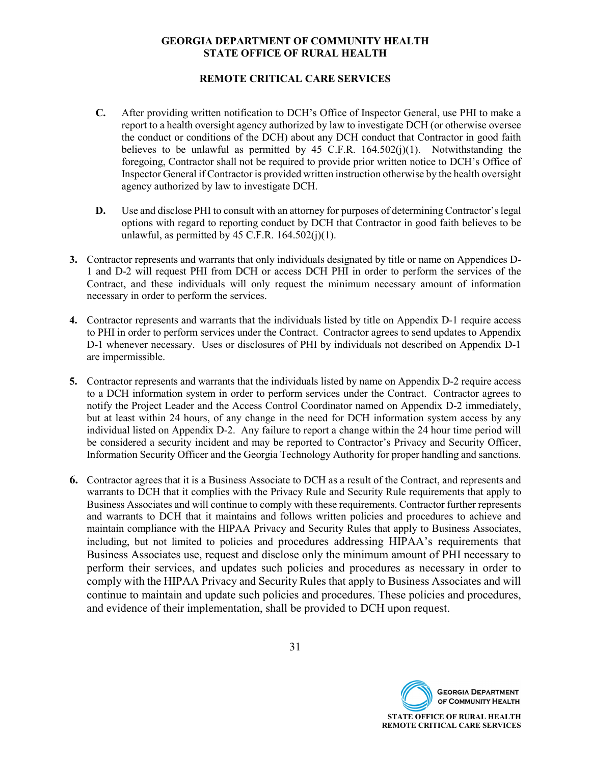#### **REMOTE CRITICAL CARE SERVICES**

- **C.** After providing written notification to DCH's Office of Inspector General, use PHI to make a report to a health oversight agency authorized by law to investigate DCH (or otherwise oversee the conduct or conditions of the DCH) about any DCH conduct that Contractor in good faith believes to be unlawful as permitted by 45 C.F.R.  $164.502(j)(1)$ . Notwithstanding the foregoing, Contractor shall not be required to provide prior written notice to DCH's Office of Inspector General if Contractor is provided written instruction otherwise by the health oversight agency authorized by law to investigate DCH.
- **D.** Use and disclose PHI to consult with an attorney for purposes of determining Contractor's legal options with regard to reporting conduct by DCH that Contractor in good faith believes to be unlawful, as permitted by 45 C.F.R.  $164.502(j)(1)$ .
- **3.** Contractor represents and warrants that only individuals designated by title or name on Appendices D-1 and D-2 will request PHI from DCH or access DCH PHI in order to perform the services of the Contract, and these individuals will only request the minimum necessary amount of information necessary in order to perform the services.
- **4.** Contractor represents and warrants that the individuals listed by title on Appendix D-1 require access to PHI in order to perform services under the Contract. Contractor agrees to send updates to Appendix D-1 whenever necessary. Uses or disclosures of PHI by individuals not described on Appendix D-1 are impermissible.
- **5.** Contractor represents and warrants that the individuals listed by name on Appendix D-2 require access to a DCH information system in order to perform services under the Contract. Contractor agrees to notify the Project Leader and the Access Control Coordinator named on Appendix D-2 immediately, but at least within 24 hours, of any change in the need for DCH information system access by any individual listed on Appendix D-2. Any failure to report a change within the 24 hour time period will be considered a security incident and may be reported to Contractor's Privacy and Security Officer, Information Security Officer and the Georgia Technology Authority for proper handling and sanctions.
- **6.** Contractor agrees that it is a Business Associate to DCH as a result of the Contract, and represents and warrants to DCH that it complies with the Privacy Rule and Security Rule requirements that apply to Business Associates and will continue to comply with these requirements. Contractor further represents and warrants to DCH that it maintains and follows written policies and procedures to achieve and maintain compliance with the HIPAA Privacy and Security Rules that apply to Business Associates, including, but not limited to policies and procedures addressing HIPAA's requirements that Business Associates use, request and disclose only the minimum amount of PHI necessary to perform their services, and updates such policies and procedures as necessary in order to comply with the HIPAA Privacy and Security Rules that apply to Business Associates and will continue to maintain and update such policies and procedures. These policies and procedures, and evidence of their implementation, shall be provided to DCH upon request.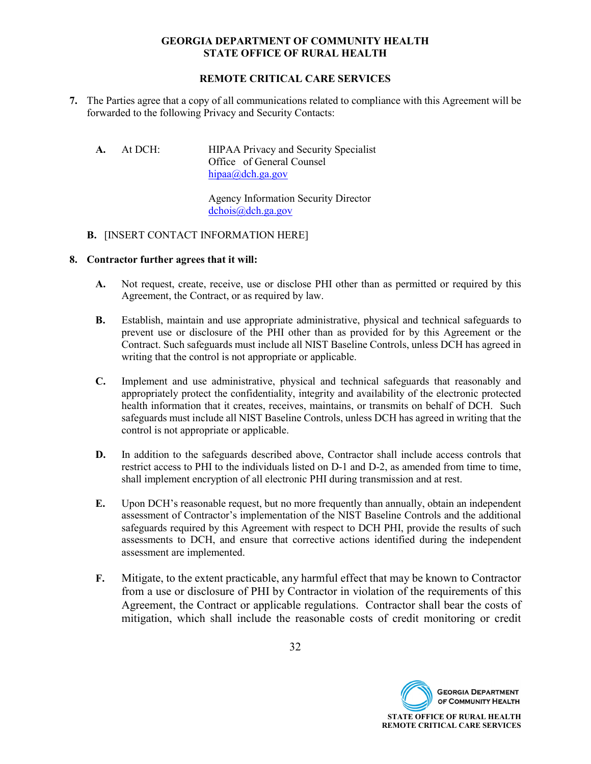#### **REMOTE CRITICAL CARE SERVICES**

- **7.** The Parties agree that a copy of all communications related to compliance with this Agreement will be forwarded to the following Privacy and Security Contacts:
	- **A.** At DCH: HIPAA Privacy and Security Specialist Office of General Counsel [hipaa@dch.ga.gov](mailto:hipaa@dch.ga.gov)

Agency Information Security Director [dchois@dch.ga.gov](mailto:dchois@dch.ga.gov)

#### **B.** [INSERT CONTACT INFORMATION HERE]

#### **8. Contractor further agrees that it will:**

- **A.** Not request, create, receive, use or disclose PHI other than as permitted or required by this Agreement, the Contract, or as required by law.
- **B.** Establish, maintain and use appropriate administrative, physical and technical safeguards to prevent use or disclosure of the PHI other than as provided for by this Agreement or the Contract. Such safeguards must include all NIST Baseline Controls, unless DCH has agreed in writing that the control is not appropriate or applicable.
- **C.** Implement and use administrative, physical and technical safeguards that reasonably and appropriately protect the confidentiality, integrity and availability of the electronic protected health information that it creates, receives, maintains, or transmits on behalf of DCH. Such safeguards must include all NIST Baseline Controls, unless DCH has agreed in writing that the control is not appropriate or applicable.
- **D.** In addition to the safeguards described above, Contractor shall include access controls that restrict access to PHI to the individuals listed on D-1 and D-2, as amended from time to time, shall implement encryption of all electronic PHI during transmission and at rest.
- **E.** Upon DCH's reasonable request, but no more frequently than annually, obtain an independent assessment of Contractor's implementation of the NIST Baseline Controls and the additional safeguards required by this Agreement with respect to DCH PHI, provide the results of such assessments to DCH, and ensure that corrective actions identified during the independent assessment are implemented.
- **F.** Mitigate, to the extent practicable, any harmful effect that may be known to Contractor from a use or disclosure of PHI by Contractor in violation of the requirements of this Agreement, the Contract or applicable regulations. Contractor shall bear the costs of mitigation, which shall include the reasonable costs of credit monitoring or credit

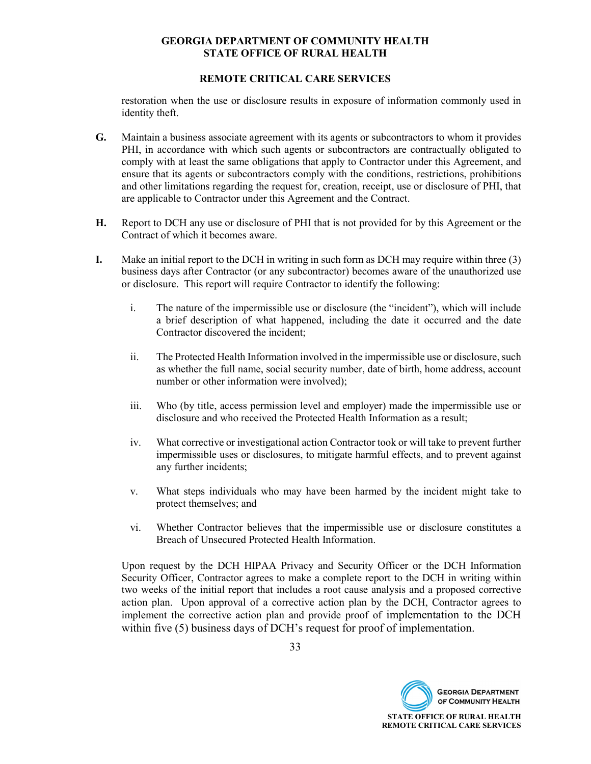#### **REMOTE CRITICAL CARE SERVICES**

restoration when the use or disclosure results in exposure of information commonly used in identity theft.

- **G.** Maintain a business associate agreement with its agents or subcontractors to whom it provides PHI, in accordance with which such agents or subcontractors are contractually obligated to comply with at least the same obligations that apply to Contractor under this Agreement, and ensure that its agents or subcontractors comply with the conditions, restrictions, prohibitions and other limitations regarding the request for, creation, receipt, use or disclosure of PHI, that are applicable to Contractor under this Agreement and the Contract.
- **H.** Report to DCH any use or disclosure of PHI that is not provided for by this Agreement or the Contract of which it becomes aware.
- **I.** Make an initial report to the DCH in writing in such form as DCH may require within three (3) business days after Contractor (or any subcontractor) becomes aware of the unauthorized use or disclosure. This report will require Contractor to identify the following:
	- i. The nature of the impermissible use or disclosure (the "incident"), which will include a brief description of what happened, including the date it occurred and the date Contractor discovered the incident;
	- ii. The Protected Health Information involved in the impermissible use or disclosure, such as whether the full name, social security number, date of birth, home address, account number or other information were involved);
	- iii. Who (by title, access permission level and employer) made the impermissible use or disclosure and who received the Protected Health Information as a result;
	- iv. What corrective or investigational action Contractor took or will take to prevent further impermissible uses or disclosures, to mitigate harmful effects, and to prevent against any further incidents;
	- v. What steps individuals who may have been harmed by the incident might take to protect themselves; and
	- vi. Whether Contractor believes that the impermissible use or disclosure constitutes a Breach of Unsecured Protected Health Information.

Upon request by the DCH HIPAA Privacy and Security Officer or the DCH Information Security Officer, Contractor agrees to make a complete report to the DCH in writing within two weeks of the initial report that includes a root cause analysis and a proposed corrective action plan. Upon approval of a corrective action plan by the DCH, Contractor agrees to implement the corrective action plan and provide proof of implementation to the DCH within five (5) business days of DCH's request for proof of implementation.

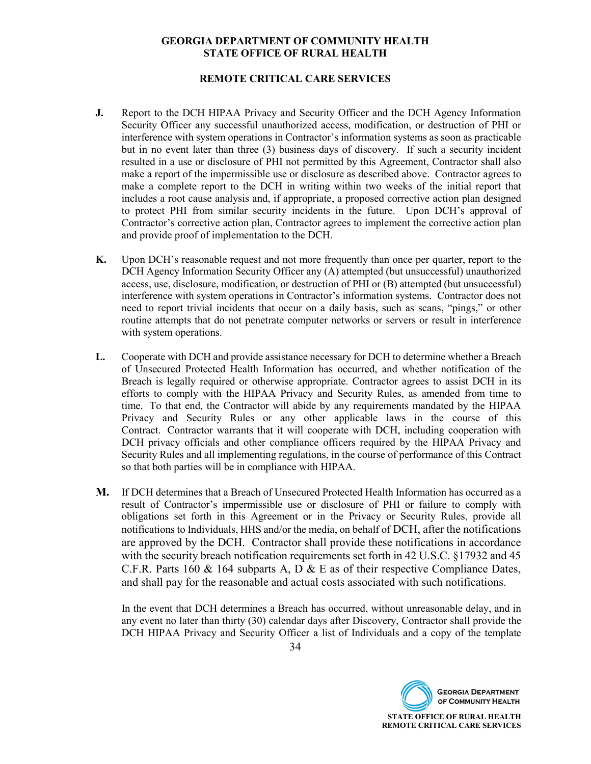#### **REMOTE CRITICAL CARE SERVICES**

- **J.** Report to the DCH HIPAA Privacy and Security Officer and the DCH Agency Information Security Officer any successful unauthorized access, modification, or destruction of PHI or interference with system operations in Contractor's information systems as soon as practicable but in no event later than three (3) business days of discovery. If such a security incident resulted in a use or disclosure of PHI not permitted by this Agreement, Contractor shall also make a report of the impermissible use or disclosure as described above. Contractor agrees to make a complete report to the DCH in writing within two weeks of the initial report that includes a root cause analysis and, if appropriate, a proposed corrective action plan designed to protect PHI from similar security incidents in the future. Upon DCH's approval of Contractor's corrective action plan, Contractor agrees to implement the corrective action plan and provide proof of implementation to the DCH.
- **K.** Upon DCH's reasonable request and not more frequently than once per quarter, report to the DCH Agency Information Security Officer any (A) attempted (but unsuccessful) unauthorized access, use, disclosure, modification, or destruction of PHI or (B) attempted (but unsuccessful) interference with system operations in Contractor's information systems. Contractor does not need to report trivial incidents that occur on a daily basis, such as scans, "pings," or other routine attempts that do not penetrate computer networks or servers or result in interference with system operations.
- **L.** Cooperate with DCH and provide assistance necessary for DCH to determine whether a Breach of Unsecured Protected Health Information has occurred, and whether notification of the Breach is legally required or otherwise appropriate. Contractor agrees to assist DCH in its efforts to comply with the HIPAA Privacy and Security Rules, as amended from time to time. To that end, the Contractor will abide by any requirements mandated by the HIPAA Privacy and Security Rules or any other applicable laws in the course of this Contract. Contractor warrants that it will cooperate with DCH, including cooperation with DCH privacy officials and other compliance officers required by the HIPAA Privacy and Security Rules and all implementing regulations, in the course of performance of this Contract so that both parties will be in compliance with HIPAA.
- **M.** If DCH determines that a Breach of Unsecured Protected Health Information has occurred as a result of Contractor's impermissible use or disclosure of PHI or failure to comply with obligations set forth in this Agreement or in the Privacy or Security Rules, provide all notifications to Individuals, HHS and/or the media, on behalf of DCH, after the notifications are approved by the DCH. Contractor shall provide these notifications in accordance with the security breach notification requirements set forth in 42 U.S.C. §17932 and 45 C.F.R. Parts 160  $\&$  164 subparts A, D  $\&$  E as of their respective Compliance Dates, and shall pay for the reasonable and actual costs associated with such notifications.

In the event that DCH determines a Breach has occurred, without unreasonable delay, and in any event no later than thirty (30) calendar days after Discovery, Contractor shall provide the DCH HIPAA Privacy and Security Officer a list of Individuals and a copy of the template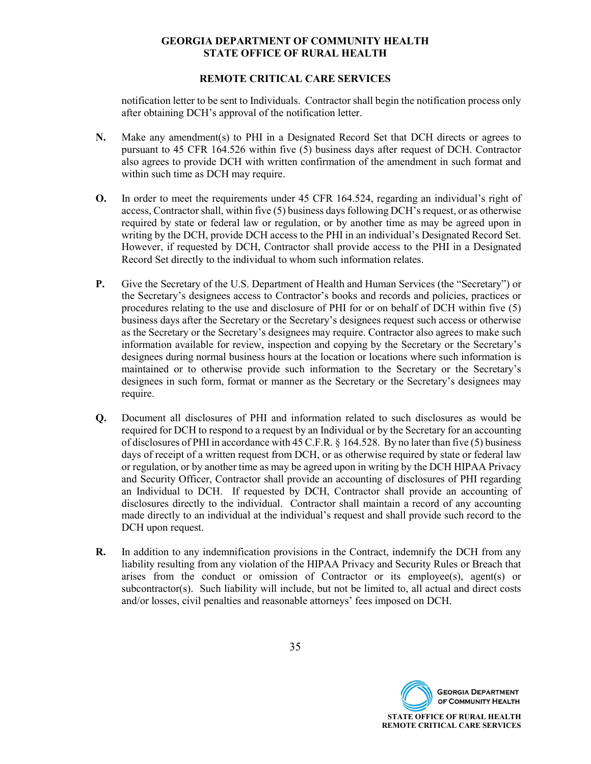#### **REMOTE CRITICAL CARE SERVICES**

notification letter to be sent to Individuals. Contractor shall begin the notification process only after obtaining DCH's approval of the notification letter.

- **N.** Make any amendment(s) to PHI in a Designated Record Set that DCH directs or agrees to pursuant to 45 CFR 164.526 within five (5) business days after request of DCH. Contractor also agrees to provide DCH with written confirmation of the amendment in such format and within such time as DCH may require.
- **O.** In order to meet the requirements under 45 CFR 164.524, regarding an individual's right of access, Contractor shall, within five (5) business days following DCH's request, or as otherwise required by state or federal law or regulation, or by another time as may be agreed upon in writing by the DCH, provide DCH access to the PHI in an individual's Designated Record Set. However, if requested by DCH, Contractor shall provide access to the PHI in a Designated Record Set directly to the individual to whom such information relates.
- **P.** Give the Secretary of the U.S. Department of Health and Human Services (the "Secretary") or the Secretary's designees access to Contractor's books and records and policies, practices or procedures relating to the use and disclosure of PHI for or on behalf of DCH within five (5) business days after the Secretary or the Secretary's designees request such access or otherwise as the Secretary or the Secretary's designees may require. Contractor also agrees to make such information available for review, inspection and copying by the Secretary or the Secretary's designees during normal business hours at the location or locations where such information is maintained or to otherwise provide such information to the Secretary or the Secretary's designees in such form, format or manner as the Secretary or the Secretary's designees may require.
- **Q.** Document all disclosures of PHI and information related to such disclosures as would be required for DCH to respond to a request by an Individual or by the Secretary for an accounting of disclosures of PHI in accordance with 45 C.F.R. § 164.528. By no later than five (5) business days of receipt of a written request from DCH, or as otherwise required by state or federal law or regulation, or by another time as may be agreed upon in writing by the DCH HIPAA Privacy and Security Officer, Contractor shall provide an accounting of disclosures of PHI regarding an Individual to DCH. If requested by DCH, Contractor shall provide an accounting of disclosures directly to the individual. Contractor shall maintain a record of any accounting made directly to an individual at the individual's request and shall provide such record to the DCH upon request.
- **R.** In addition to any indemnification provisions in the Contract, indemnify the DCH from any liability resulting from any violation of the HIPAA Privacy and Security Rules or Breach that arises from the conduct or omission of Contractor or its employee(s), agent(s) or subcontractor(s). Such liability will include, but not be limited to, all actual and direct costs and/or losses, civil penalties and reasonable attorneys' fees imposed on DCH.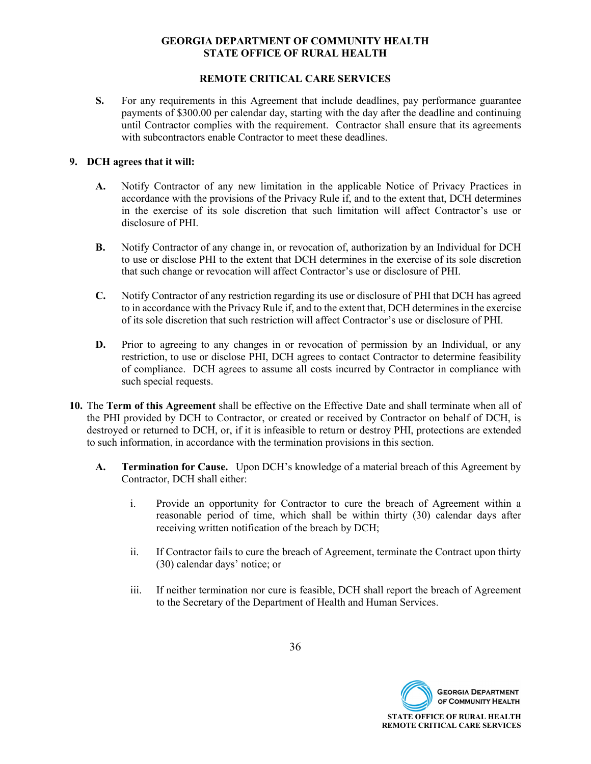#### **REMOTE CRITICAL CARE SERVICES**

**S.** For any requirements in this Agreement that include deadlines, pay performance guarantee payments of \$300.00 per calendar day, starting with the day after the deadline and continuing until Contractor complies with the requirement. Contractor shall ensure that its agreements with subcontractors enable Contractor to meet these deadlines.

#### **9. DCH agrees that it will:**

- **A.** Notify Contractor of any new limitation in the applicable Notice of Privacy Practices in accordance with the provisions of the Privacy Rule if, and to the extent that, DCH determines in the exercise of its sole discretion that such limitation will affect Contractor's use or disclosure of PHI.
- **B.** Notify Contractor of any change in, or revocation of, authorization by an Individual for DCH to use or disclose PHI to the extent that DCH determines in the exercise of its sole discretion that such change or revocation will affect Contractor's use or disclosure of PHI.
- **C.** Notify Contractor of any restriction regarding its use or disclosure of PHI that DCH has agreed to in accordance with the Privacy Rule if, and to the extent that, DCH determines in the exercise of its sole discretion that such restriction will affect Contractor's use or disclosure of PHI.
- **D.** Prior to agreeing to any changes in or revocation of permission by an Individual, or any restriction, to use or disclose PHI, DCH agrees to contact Contractor to determine feasibility of compliance. DCH agrees to assume all costs incurred by Contractor in compliance with such special requests.
- **10.** The **Term of this Agreement** shall be effective on the Effective Date and shall terminate when all of the PHI provided by DCH to Contractor, or created or received by Contractor on behalf of DCH, is destroyed or returned to DCH, or, if it is infeasible to return or destroy PHI, protections are extended to such information, in accordance with the termination provisions in this section.
	- **A. Termination for Cause.** Upon DCH's knowledge of a material breach of this Agreement by Contractor, DCH shall either:
		- i. Provide an opportunity for Contractor to cure the breach of Agreement within a reasonable period of time, which shall be within thirty (30) calendar days after receiving written notification of the breach by DCH;
		- ii. If Contractor fails to cure the breach of Agreement, terminate the Contract upon thirty (30) calendar days' notice; or
		- iii. If neither termination nor cure is feasible, DCH shall report the breach of Agreement to the Secretary of the Department of Health and Human Services.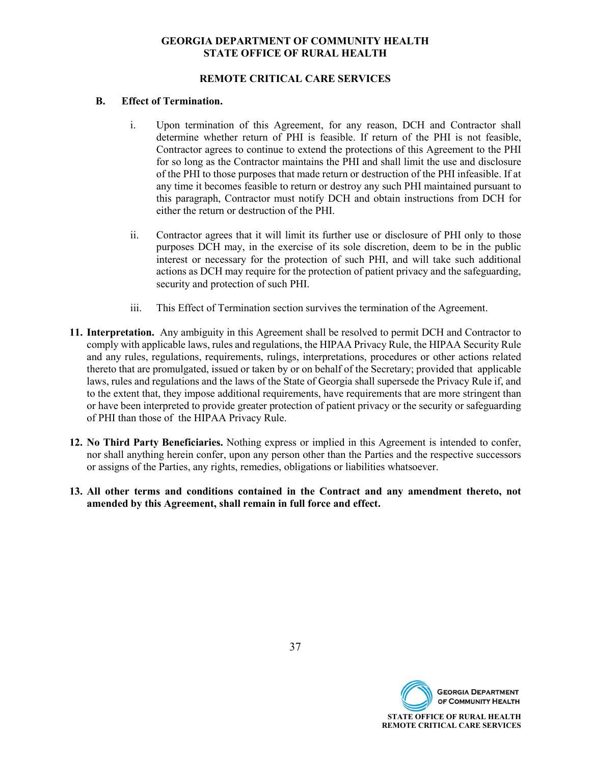#### **REMOTE CRITICAL CARE SERVICES**

#### **B. Effect of Termination.**

- i. Upon termination of this Agreement, for any reason, DCH and Contractor shall determine whether return of PHI is feasible. If return of the PHI is not feasible, Contractor agrees to continue to extend the protections of this Agreement to the PHI for so long as the Contractor maintains the PHI and shall limit the use and disclosure of the PHI to those purposes that made return or destruction of the PHI infeasible. If at any time it becomes feasible to return or destroy any such PHI maintained pursuant to this paragraph, Contractor must notify DCH and obtain instructions from DCH for either the return or destruction of the PHI.
- ii. Contractor agrees that it will limit its further use or disclosure of PHI only to those purposes DCH may, in the exercise of its sole discretion, deem to be in the public interest or necessary for the protection of such PHI, and will take such additional actions as DCH may require for the protection of patient privacy and the safeguarding, security and protection of such PHI.
- iii. This Effect of Termination section survives the termination of the Agreement.
- **11. Interpretation.** Any ambiguity in this Agreement shall be resolved to permit DCH and Contractor to comply with applicable laws, rules and regulations, the HIPAA Privacy Rule, the HIPAA Security Rule and any rules, regulations, requirements, rulings, interpretations, procedures or other actions related thereto that are promulgated, issued or taken by or on behalf of the Secretary; provided that applicable laws, rules and regulations and the laws of the State of Georgia shall supersede the Privacy Rule if, and to the extent that, they impose additional requirements, have requirements that are more stringent than or have been interpreted to provide greater protection of patient privacy or the security or safeguarding of PHI than those of the HIPAA Privacy Rule.
- **12. No Third Party Beneficiaries.** Nothing express or implied in this Agreement is intended to confer, nor shall anything herein confer, upon any person other than the Parties and the respective successors or assigns of the Parties, any rights, remedies, obligations or liabilities whatsoever.
- **13. All other terms and conditions contained in the Contract and any amendment thereto, not amended by this Agreement, shall remain in full force and effect.**

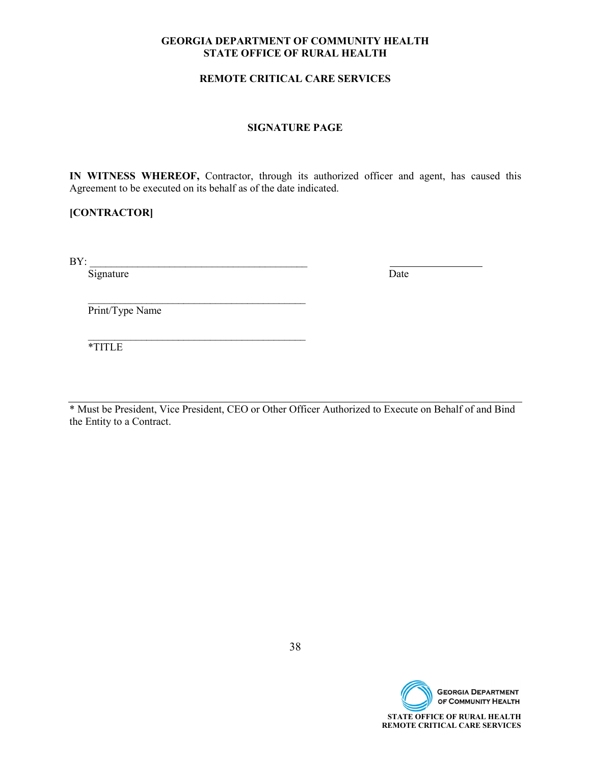#### **REMOTE CRITICAL CARE SERVICES**

#### **SIGNATURE PAGE**

**IN WITNESS WHEREOF,** Contractor, through its authorized officer and agent, has caused this Agreement to be executed on its behalf as of the date indicated.

### **[CONTRACTOR]**

 $\text{BY:}\qquad \qquad$ 

Signature Date

Print/Type Name

 $\mathcal{L}=\frac{1}{2}$  , where  $\mathcal{L}=\frac{1}{2}$  , where  $\mathcal{L}=\frac{1}{2}$  , where  $\mathcal{L}=\frac{1}{2}$ 

 $\mathcal{L}=\frac{1}{2} \sum_{i=1}^{n} \frac{1}{2} \sum_{i=1}^{n} \frac{1}{2} \sum_{i=1}^{n} \frac{1}{2} \sum_{i=1}^{n} \frac{1}{2} \sum_{i=1}^{n} \frac{1}{2} \sum_{i=1}^{n} \frac{1}{2} \sum_{i=1}^{n} \frac{1}{2} \sum_{i=1}^{n} \frac{1}{2} \sum_{i=1}^{n} \frac{1}{2} \sum_{i=1}^{n} \frac{1}{2} \sum_{i=1}^{n} \frac{1}{2} \sum_{i=1}^{n} \frac{1}{2} \sum_{$ \*TITLE

\* Must be President, Vice President, CEO or Other Officer Authorized to Execute on Behalf of and Bind the Entity to a Contract.

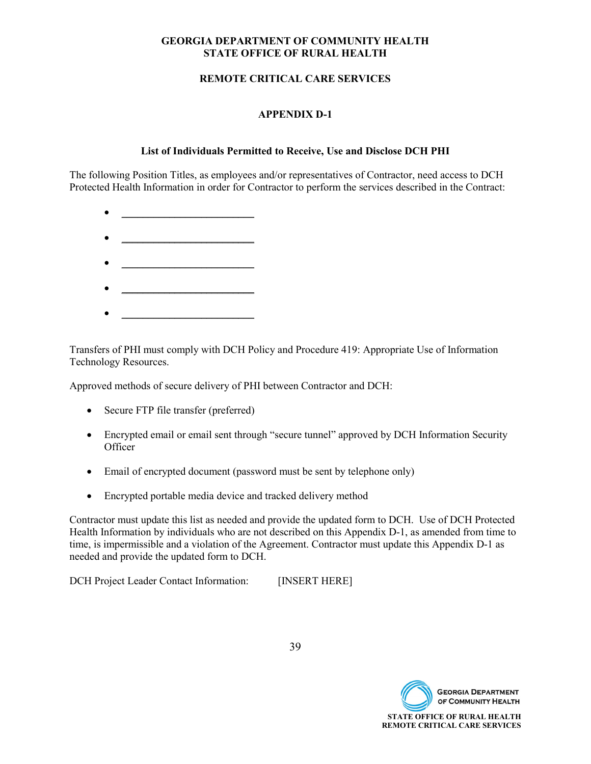#### **REMOTE CRITICAL CARE SERVICES**

### **APPENDIX D-1**

#### **List of Individuals Permitted to Receive, Use and Disclose DCH PHI**

The following Position Titles, as employees and/or representatives of Contractor, need access to DCH Protected Health Information in order for Contractor to perform the services described in the Contract:

- $\bullet$   $\qquad \qquad$
- \_\_\_\_\_\_\_\_\_\_\_\_\_\_\_\_\_\_\_\_\_\_\_\_\_
- 
- 
- $\bullet$   $\qquad \qquad$

Transfers of PHI must comply with DCH Policy and Procedure 419: Appropriate Use of Information Technology Resources.

Approved methods of secure delivery of PHI between Contractor and DCH:

- Secure FTP file transfer (preferred)
- Encrypted email or email sent through "secure tunnel" approved by DCH Information Security **Officer**
- Email of encrypted document (password must be sent by telephone only)
- Encrypted portable media device and tracked delivery method

Contractor must update this list as needed and provide the updated form to DCH. Use of DCH Protected Health Information by individuals who are not described on this Appendix D-1, as amended from time to time, is impermissible and a violation of the Agreement. Contractor must update this Appendix D-1 as needed and provide the updated form to DCH.

DCH Project Leader Contact Information: [INSERT HERE]



39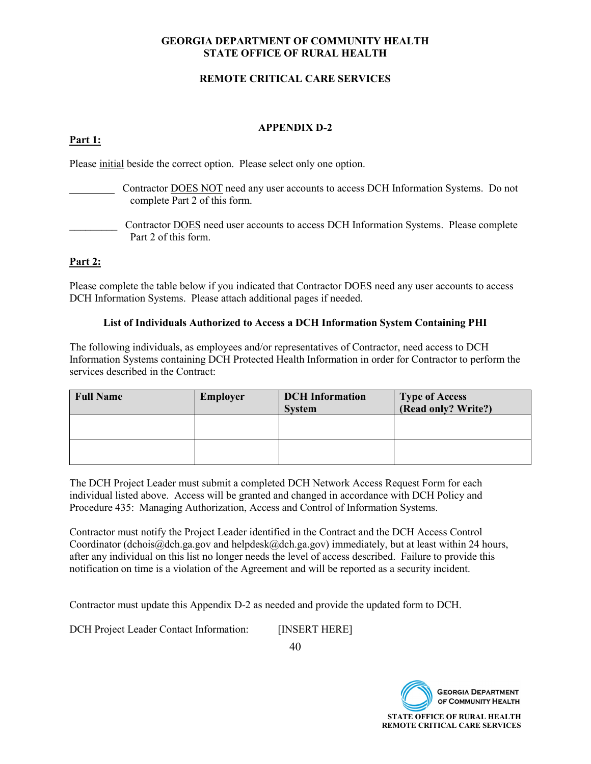#### **REMOTE CRITICAL CARE SERVICES**

#### **APPENDIX D-2**

#### **Part 1:**

Please initial beside the correct option. Please select only one option.

- Contractor DOES NOT need any user accounts to access DCH Information Systems. Do not complete Part 2 of this form.
- \_\_\_\_\_\_\_\_\_ Contractor DOES need user accounts to access DCH Information Systems. Please complete Part 2 of this form.

#### **Part 2:**

Please complete the table below if you indicated that Contractor DOES need any user accounts to access DCH Information Systems. Please attach additional pages if needed.

#### **List of Individuals Authorized to Access a DCH Information System Containing PHI**

The following individuals, as employees and/or representatives of Contractor, need access to DCH Information Systems containing DCH Protected Health Information in order for Contractor to perform the services described in the Contract:

| <b>Full Name</b> | <b>Employer</b> | <b>DCH</b> Information<br><b>System</b> | <b>Type of Access</b><br>(Read only? Write?) |
|------------------|-----------------|-----------------------------------------|----------------------------------------------|
|                  |                 |                                         |                                              |
|                  |                 |                                         |                                              |

The DCH Project Leader must submit a completed DCH Network Access Request Form for each individual listed above. Access will be granted and changed in accordance with DCH Policy and Procedure 435: Managing Authorization, Access and Control of Information Systems.

Contractor must notify the Project Leader identified in the Contract and the DCH Access Control Coordinator (dchois@dch.ga.gov and helpdesk@dch.ga.gov) immediately, but at least within 24 hours, after any individual on this list no longer needs the level of access described. Failure to provide this notification on time is a violation of the Agreement and will be reported as a security incident.

Contractor must update this Appendix D-2 as needed and provide the updated form to DCH.

DCH Project Leader Contact Information: [INSERT HERE]

40

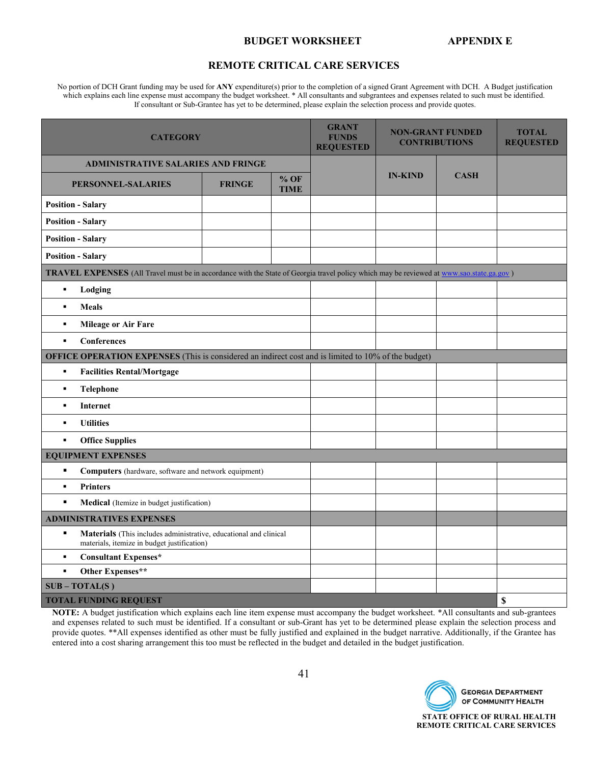#### **BUDGET WORKSHEET APPENDIX E**

#### **REMOTE CRITICAL CARE SERVICES**

No portion of DCH Grant funding may be used for **ANY** expenditure(s) prior to the completion of a signed Grant Agreement with DCH. A Budget justification which explains each line expense must accompany the budget worksheet. \* All consultants and subgrantees and expenses related to such must be identified. If consultant or Sub-Grantee has yet to be determined, please explain the selection process and provide quotes.

| <b>CATEGORY</b>                                                                                                                                 | <b>GRANT</b><br><b>FUNDS</b><br><b>REQUESTED</b> | <b>NON-GRANT FUNDED</b><br><b>CONTRIBUTIONS</b> |  | <b>TOTAL</b><br><b>REQUESTED</b> |             |    |
|-------------------------------------------------------------------------------------------------------------------------------------------------|--------------------------------------------------|-------------------------------------------------|--|----------------------------------|-------------|----|
| <b>ADMINISTRATIVE SALARIES AND FRINGE</b>                                                                                                       |                                                  |                                                 |  |                                  |             |    |
| <b>PERSONNEL-SALARIES</b>                                                                                                                       | <b>FRINGE</b>                                    | $%$ OF<br><b>TIME</b>                           |  | <b>IN-KIND</b>                   | <b>CASH</b> |    |
| <b>Position - Salary</b>                                                                                                                        |                                                  |                                                 |  |                                  |             |    |
| <b>Position - Salary</b>                                                                                                                        |                                                  |                                                 |  |                                  |             |    |
| <b>Position - Salary</b>                                                                                                                        |                                                  |                                                 |  |                                  |             |    |
| <b>Position - Salary</b>                                                                                                                        |                                                  |                                                 |  |                                  |             |    |
| <b>TRAVEL EXPENSES</b> (All Travel must be in accordance with the State of Georgia travel policy which may be reviewed at www.sao.state.ga.gov) |                                                  |                                                 |  |                                  |             |    |
| $\blacksquare$<br>Lodging                                                                                                                       |                                                  |                                                 |  |                                  |             |    |
| $\blacksquare$<br><b>Meals</b>                                                                                                                  |                                                  |                                                 |  |                                  |             |    |
| <b>Mileage or Air Fare</b><br>٠                                                                                                                 |                                                  |                                                 |  |                                  |             |    |
| Conferences<br>$\blacksquare$                                                                                                                   |                                                  |                                                 |  |                                  |             |    |
| OFFICE OPERATION EXPENSES (This is considered an indirect cost and is limited to 10% of the budget)                                             |                                                  |                                                 |  |                                  |             |    |
| $\blacksquare$<br><b>Facilities Rental/Mortgage</b>                                                                                             |                                                  |                                                 |  |                                  |             |    |
| <b>Telephone</b><br>$\blacksquare$                                                                                                              |                                                  |                                                 |  |                                  |             |    |
| $\blacksquare$<br>Internet                                                                                                                      |                                                  |                                                 |  |                                  |             |    |
| <b>Utilities</b><br>$\blacksquare$                                                                                                              |                                                  |                                                 |  |                                  |             |    |
| <b>Office Supplies</b><br>$\blacksquare$                                                                                                        |                                                  |                                                 |  |                                  |             |    |
| <b>EQUIPMENT EXPENSES</b>                                                                                                                       |                                                  |                                                 |  |                                  |             |    |
| $\blacksquare$<br><b>Computers</b> (hardware, software and network equipment)                                                                   |                                                  |                                                 |  |                                  |             |    |
| <b>Printers</b><br>$\blacksquare$                                                                                                               |                                                  |                                                 |  |                                  |             |    |
| $\blacksquare$<br>Medical (Itemize in budget justification)                                                                                     |                                                  |                                                 |  |                                  |             |    |
| <b>ADMINISTRATIVES EXPENSES</b>                                                                                                                 |                                                  |                                                 |  |                                  |             |    |
| $\blacksquare$<br>Materials (This includes administrative, educational and clinical<br>materials, itemize in budget justification)              |                                                  |                                                 |  |                                  |             |    |
| <b>Consultant Expenses*</b><br>$\blacksquare$                                                                                                   |                                                  |                                                 |  |                                  |             |    |
| Other Expenses**<br>$\blacksquare$                                                                                                              |                                                  |                                                 |  |                                  |             |    |
| $SUB - TOTAL(S)$                                                                                                                                |                                                  |                                                 |  |                                  |             |    |
| <b>TOTAL FUNDING REQUEST</b>                                                                                                                    |                                                  |                                                 |  |                                  |             | \$ |

**NOTE:** A budget justification which explains each line item expense must accompany the budget worksheet. \*All consultants and sub-grantees and expenses related to such must be identified. If a consultant or sub-Grant has yet to be determined please explain the selection process and provide quotes. \*\*All expenses identified as other must be fully justified and explained in the budget narrative. Additionally, if the Grantee has entered into a cost sharing arrangement this too must be reflected in the budget and detailed in the budget justification.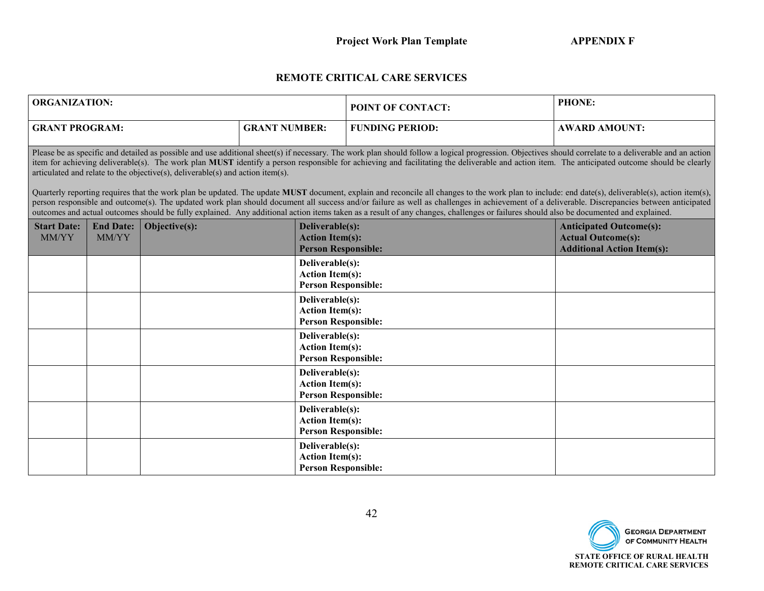### **REMOTE CRITICAL CARE SERVICES**

| <b>ORGANIZATION:</b>        |                           |                                                                                |                      |                                                                         | POINT OF CONTACT:                                                                                                                                                                                                                                                                                                                                                                                                                                                                                                                                                                                                                                                                                                                                                                                                                                                                                                                                                                                     | <b>PHONE:</b>                                                                                    |
|-----------------------------|---------------------------|--------------------------------------------------------------------------------|----------------------|-------------------------------------------------------------------------|-------------------------------------------------------------------------------------------------------------------------------------------------------------------------------------------------------------------------------------------------------------------------------------------------------------------------------------------------------------------------------------------------------------------------------------------------------------------------------------------------------------------------------------------------------------------------------------------------------------------------------------------------------------------------------------------------------------------------------------------------------------------------------------------------------------------------------------------------------------------------------------------------------------------------------------------------------------------------------------------------------|--------------------------------------------------------------------------------------------------|
|                             | <b>GRANT PROGRAM:</b>     |                                                                                | <b>GRANT NUMBER:</b> |                                                                         | <b>FUNDING PERIOD:</b>                                                                                                                                                                                                                                                                                                                                                                                                                                                                                                                                                                                                                                                                                                                                                                                                                                                                                                                                                                                | <b>AWARD AMOUNT:</b>                                                                             |
|                             |                           | articulated and relate to the objective(s), deliverable(s) and action item(s). |                      |                                                                         | Please be as specific and detailed as possible and use additional sheet(s) if necessary. The work plan should follow a logical progression. Objectives should correlate to a deliverable and an action<br>item for achieving deliverable(s). The work plan MUST identify a person responsible for achieving and facilitating the deliverable and action item. The anticipated outcome should be clearly<br>Quarterly reporting requires that the work plan be updated. The update MUST document, explain and reconcile all changes to the work plan to include: end date(s), deliverable(s), action item(s),<br>person responsible and outcome(s). The updated work plan should document all success and/or failure as well as challenges in achievement of a deliverable. Discrepancies between anticipated<br>outcomes and actual outcomes should be fully explained. Any additional action items taken as a result of any changes, challenges or failures should also be documented and explained. |                                                                                                  |
| <b>Start Date:</b><br>MM/YY | <b>End Date:</b><br>MM/YY | Objective(s):                                                                  |                      | Deliverable(s):<br><b>Action Item(s):</b><br><b>Person Responsible:</b> |                                                                                                                                                                                                                                                                                                                                                                                                                                                                                                                                                                                                                                                                                                                                                                                                                                                                                                                                                                                                       | <b>Anticipated Outcome(s):</b><br><b>Actual Outcome(s):</b><br><b>Additional Action Item(s):</b> |
|                             |                           |                                                                                |                      | Deliverable(s):<br><b>Action Item(s):</b><br><b>Person Responsible:</b> |                                                                                                                                                                                                                                                                                                                                                                                                                                                                                                                                                                                                                                                                                                                                                                                                                                                                                                                                                                                                       |                                                                                                  |
|                             |                           |                                                                                |                      | Deliverable(s):<br><b>Action Item(s):</b><br><b>Person Responsible:</b> |                                                                                                                                                                                                                                                                                                                                                                                                                                                                                                                                                                                                                                                                                                                                                                                                                                                                                                                                                                                                       |                                                                                                  |
|                             |                           |                                                                                |                      | Deliverable(s):<br><b>Action Item(s):</b><br><b>Person Responsible:</b> |                                                                                                                                                                                                                                                                                                                                                                                                                                                                                                                                                                                                                                                                                                                                                                                                                                                                                                                                                                                                       |                                                                                                  |
|                             |                           |                                                                                |                      | Deliverable(s):<br><b>Action Item(s):</b><br><b>Person Responsible:</b> |                                                                                                                                                                                                                                                                                                                                                                                                                                                                                                                                                                                                                                                                                                                                                                                                                                                                                                                                                                                                       |                                                                                                  |
|                             |                           |                                                                                |                      | Deliverable(s):<br><b>Action Item(s):</b><br><b>Person Responsible:</b> |                                                                                                                                                                                                                                                                                                                                                                                                                                                                                                                                                                                                                                                                                                                                                                                                                                                                                                                                                                                                       |                                                                                                  |
|                             |                           |                                                                                |                      | Deliverable(s):<br><b>Action Item(s):</b><br><b>Person Responsible:</b> |                                                                                                                                                                                                                                                                                                                                                                                                                                                                                                                                                                                                                                                                                                                                                                                                                                                                                                                                                                                                       |                                                                                                  |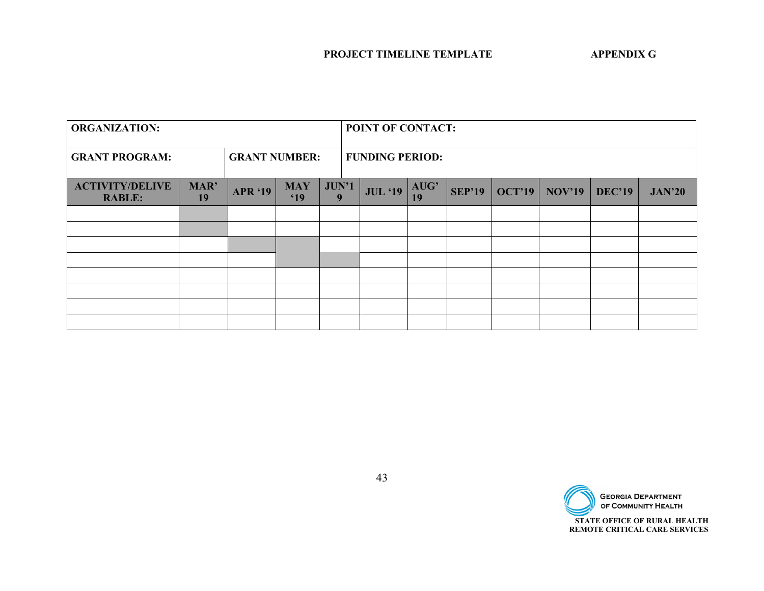| <b>ORGANIZATION:</b>                    |            |                      |                               | POINT OF CONTACT: |                        |                |            |               |               |               |               |               |
|-----------------------------------------|------------|----------------------|-------------------------------|-------------------|------------------------|----------------|------------|---------------|---------------|---------------|---------------|---------------|
| <b>GRANT PROGRAM:</b>                   |            | <b>GRANT NUMBER:</b> |                               |                   | <b>FUNDING PERIOD:</b> |                |            |               |               |               |               |               |
| <b>ACTIVITY/DELIVE</b><br><b>RABLE:</b> | MAR'<br>19 | <b>APR '19</b>       | <b>MAY</b><br><sup>'</sup> 19 | JUN'1<br>9        |                        | <b>JUL</b> '19 | AUG'<br>19 | <b>SEP'19</b> | <b>OCT'19</b> | <b>NOV'19</b> | <b>DEC'19</b> | <b>JAN'20</b> |
|                                         |            |                      |                               |                   |                        |                |            |               |               |               |               |               |
|                                         |            |                      |                               |                   |                        |                |            |               |               |               |               |               |
|                                         |            |                      |                               |                   |                        |                |            |               |               |               |               |               |
|                                         |            |                      |                               |                   |                        |                |            |               |               |               |               |               |
|                                         |            |                      |                               |                   |                        |                |            |               |               |               |               |               |
|                                         |            |                      |                               |                   |                        |                |            |               |               |               |               |               |
|                                         |            |                      |                               |                   |                        |                |            |               |               |               |               |               |
|                                         |            |                      |                               |                   |                        |                |            |               |               |               |               |               |

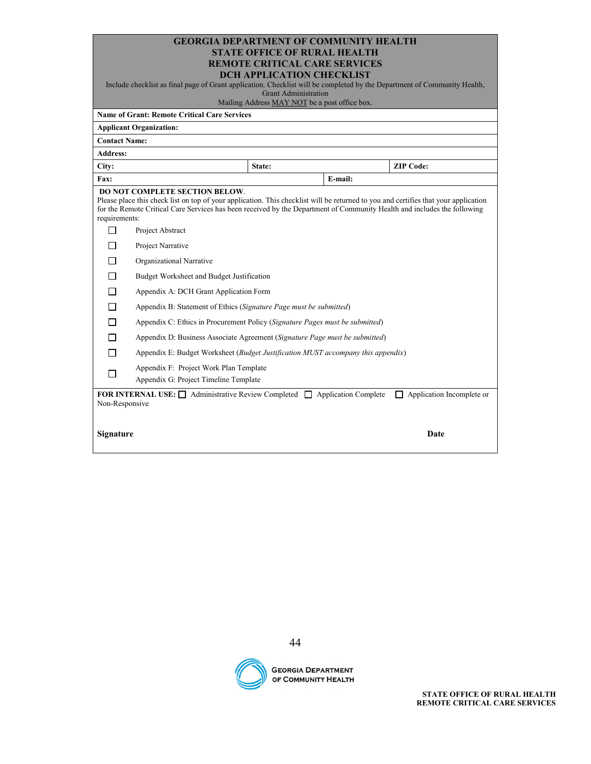| <b>GEORGIA DEPARTMENT OF COMMUNITY HEALTH</b> |
|-----------------------------------------------|
| <b>STATE OFFICE OF RURAL HEALTH</b>           |
| <b>REMOTE CRITICAL CARE SERVICES</b>          |
| <b>DOIL UDDLIC UTION CHECKLICK</b>            |

| <b>DCH APPLICATION CHECKLIST</b>                                                                                         |  |
|--------------------------------------------------------------------------------------------------------------------------|--|
| Include checklist as final page of Grant application. Checklist will be completed by the Department of Community Health, |  |

Grant Administration

Mailing Address MAY NOT be a post office box.

|                      | <b>Name of Grant: Remote Critical Care Services</b>                                                                                                                                                                                                                                                      |        |         |                           |  |  |  |
|----------------------|----------------------------------------------------------------------------------------------------------------------------------------------------------------------------------------------------------------------------------------------------------------------------------------------------------|--------|---------|---------------------------|--|--|--|
|                      | <b>Applicant Organization:</b>                                                                                                                                                                                                                                                                           |        |         |                           |  |  |  |
| <b>Contact Name:</b> |                                                                                                                                                                                                                                                                                                          |        |         |                           |  |  |  |
| <b>Address:</b>      |                                                                                                                                                                                                                                                                                                          |        |         |                           |  |  |  |
| City:                |                                                                                                                                                                                                                                                                                                          | State: |         | <b>ZIP Code:</b>          |  |  |  |
| Fax:                 |                                                                                                                                                                                                                                                                                                          |        | E-mail: |                           |  |  |  |
| requirements:        | <b>DO NOT COMPLETE SECTION BELOW.</b><br>Please place this check list on top of your application. This checklist will be returned to you and certifies that your application<br>for the Remote Critical Care Services has been received by the Department of Community Health and includes the following |        |         |                           |  |  |  |
| п                    | Project Abstract                                                                                                                                                                                                                                                                                         |        |         |                           |  |  |  |
|                      | Project Narrative                                                                                                                                                                                                                                                                                        |        |         |                           |  |  |  |
|                      | Organizational Narrative                                                                                                                                                                                                                                                                                 |        |         |                           |  |  |  |
| ΙI                   | Budget Worksheet and Budget Justification                                                                                                                                                                                                                                                                |        |         |                           |  |  |  |
|                      | Appendix A: DCH Grant Application Form                                                                                                                                                                                                                                                                   |        |         |                           |  |  |  |
| П                    | Appendix B: Statement of Ethics (Signature Page must be submitted)                                                                                                                                                                                                                                       |        |         |                           |  |  |  |
| П                    | Appendix C: Ethics in Procurement Policy (Signature Pages must be submitted)                                                                                                                                                                                                                             |        |         |                           |  |  |  |
| П                    | Appendix D: Business Associate Agreement (Signature Page must be submitted)                                                                                                                                                                                                                              |        |         |                           |  |  |  |
| П                    | Appendix E: Budget Worksheet (Budget Justification MUST accompany this appendix)                                                                                                                                                                                                                         |        |         |                           |  |  |  |
|                      | Appendix F: Project Work Plan Template<br>Appendix G: Project Timeline Template                                                                                                                                                                                                                          |        |         |                           |  |  |  |
| Non-Responsive       | <b>FOR INTERNAL USE:</b> $\Box$ Administrative Review Completed $\Box$ Application Complete                                                                                                                                                                                                              |        |         | Application Incomplete or |  |  |  |
| <b>Signature</b>     |                                                                                                                                                                                                                                                                                                          |        |         | Date                      |  |  |  |